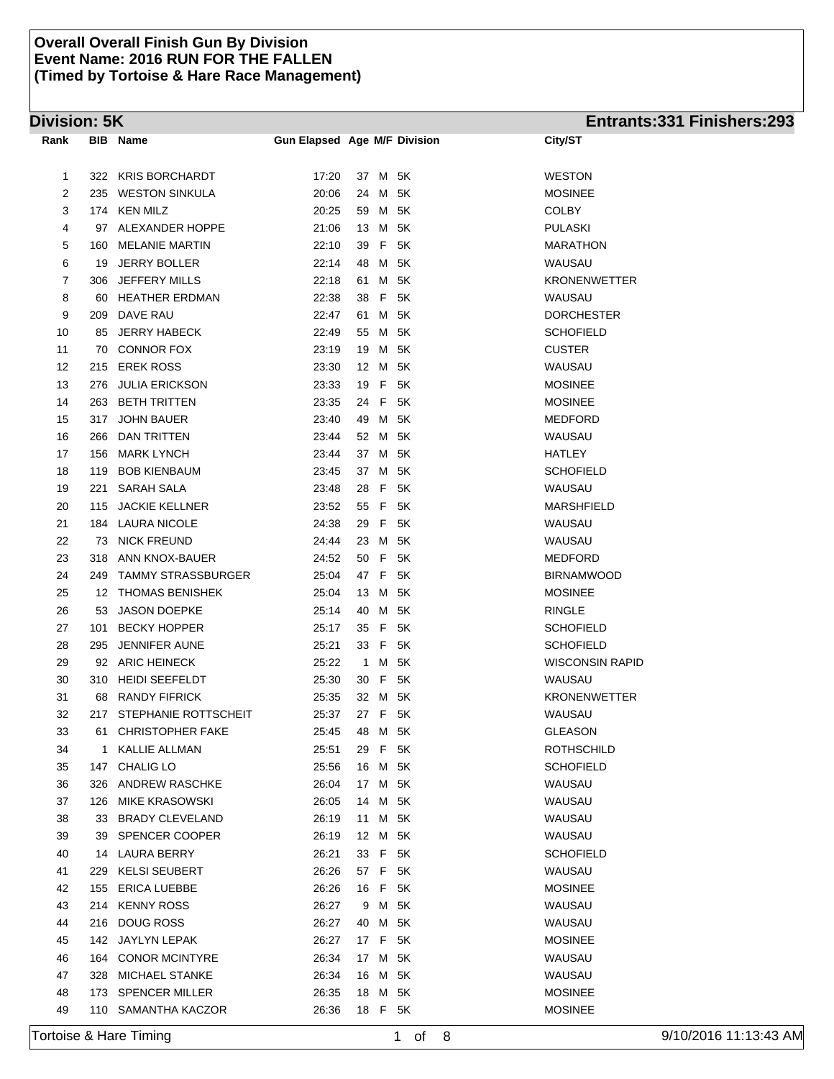# **Division: 5K Entrants:331 Finishers:293**

| Rank | BIB | <b>Name</b>             | <b>Gun Elapsed Age M/F Division</b> |      |                          |      | City/ST                |
|------|-----|-------------------------|-------------------------------------|------|--------------------------|------|------------------------|
|      |     |                         |                                     |      |                          |      |                        |
| 1    |     | 322 KRIS BORCHARDT      | 17:20                               |      | 37 M 5K                  |      | <b>WESTON</b>          |
| 2    | 235 | WESTON SINKULA          | 20:06                               | 24   | M                        | 5K   | <b>MOSINEE</b>         |
| 3    |     | 174 KEN MILZ            | 20:25                               | 59   | M                        | 5K   | <b>COLBY</b>           |
| 4    |     | 97 ALEXANDER HOPPE      | 21:06                               | 13   | M                        | 5K   | <b>PULASKI</b>         |
| 5    | 160 | <b>MELANIE MARTIN</b>   | 22:10                               | 39   | F.                       | 5K   | <b>MARATHON</b>        |
| 6    | 19  | <b>JERRY BOLLER</b>     | 22:14                               | 48   | M 5K                     |      | WAUSAU                 |
| 7    | 306 | JEFFERY MILLS           | 22:18                               | 61   | M                        | 5K   | <b>KRONENWETTER</b>    |
| 8    | 60  | <b>HEATHER ERDMAN</b>   | 22:38                               | 38   | $\vert \mathsf{F} \vert$ | 5K   | WAUSAU                 |
| 9    | 209 | DAVE RAU                | 22:47                               | 61   | M                        | 5K   | <b>DORCHESTER</b>      |
| 10   | 85  | JERRY HABECK            | 22:49                               | 55   | M                        | 5K   | <b>SCHOFIELD</b>       |
| 11   |     | 70 CONNOR FOX           | 23:19                               | 19   | M                        | 5K   | <b>CUSTER</b>          |
| 12   |     | 215 EREK ROSS           | 23:30                               | 12   | M                        | 5K   | WAUSAU                 |
| 13   | 276 | <b>JULIA ERICKSON</b>   | 23:33                               | 19   | F                        | 5K   | <b>MOSINEE</b>         |
| 14   | 263 | BETH TRITTEN            | 23:35                               |      | 24 F 5K                  |      | <b>MOSINEE</b>         |
| 15   | 317 | <b>JOHN BAUER</b>       | 23:40                               | 49   | M                        | 5K   | <b>MEDFORD</b>         |
| 16   | 266 | DAN TRITTEN             | 23:44                               |      | 52 M                     | 5K   | WAUSAU                 |
| 17   |     | 156 MARK LYNCH          | 23:44                               |      | 37 M                     | 5K   | HATLEY                 |
| 18   |     | 119 BOB KIENBAUM        | 23:45                               | 37   | M 5K                     |      | <b>SCHOFIELD</b>       |
| 19   | 221 | <b>SARAH SALA</b>       | 23:48                               | 28   | F                        | 5K   | WAUSAU                 |
| 20   | 115 | <b>JACKIE KELLNER</b>   | 23:52                               |      | 55 F                     | 5K   | <b>MARSHFIELD</b>      |
| 21   |     | 184 LAURA NICOLE        | 24:38                               |      | 29 F                     | 5K   | WAUSAU                 |
| 22   |     | 73 NICK FREUND          | 24:44                               |      | 23 M 5K                  |      | WAUSAU                 |
| 23   |     | 318 ANN KNOX-BAUER      | 24:52                               |      | 50 F                     | 5K   | <b>MEDFORD</b>         |
| 24   |     | 249 TAMMY STRASSBURGER  | 25:04                               | 47 F |                          | 5K   | <b>BIRNAMWOOD</b>      |
| 25   |     | 12 THOMAS BENISHEK      | 25:04                               | 13   | M                        | 5K   | <b>MOSINEE</b>         |
| 26   |     | 53 JASON DOEPKE         | 25:14                               | 40   | M                        | 5K   | <b>RINGLE</b>          |
| 27   | 101 | <b>BECKY HOPPER</b>     | 25:17                               | 35   | F                        | 5K   | <b>SCHOFIELD</b>       |
| 28   | 295 | JENNIFER AUNE           | 25:21                               | 33 F |                          | 5K   | <b>SCHOFIELD</b>       |
| 29   |     | 92 ARIC HEINECK         | 25:22                               |      | 1 M                      | 5K   | <b>WISCONSIN RAPID</b> |
| 30   |     | 310 HEIDI SEEFELDT      | 25:30                               |      | 30 F 5K                  |      | WAUSAU                 |
| 31   | 68  | <b>RANDY FIFRICK</b>    | 25:35                               |      | 32 M                     | 5K   | <b>KRONENWETTER</b>    |
| 32   | 217 | STEPHANIE ROTTSCHEIT    | 25:37                               | 27 F |                          | 5K   | WAUSAU                 |
| 33   | 61  | <b>CHRISTOPHER FAKE</b> | 25:45                               | 48   | M 5K                     |      | <b>GLEASON</b>         |
| 34   | 1.  | <b>KALLIE ALLMAN</b>    | 25:51                               | 29   | F.                       | 5K   | <b>ROTHSCHILD</b>      |
| 35   | 147 | <b>CHALIG LO</b>        | 25:56                               | 16   | M                        | 5K   | <b>SCHOFIELD</b>       |
| 36   |     | 326 ANDREW RASCHKE      | 26:04                               |      | 17 M 5K                  |      | WAUSAU                 |
| 37   | 126 | <b>MIKE KRASOWSKI</b>   | 26:05                               |      | 14 M 5K                  |      | WAUSAU                 |
| 38   | 33  | <b>BRADY CLEVELAND</b>  | 26:19                               |      | 11 M 5K                  |      | WAUSAU                 |
| 39   | 39  | <b>SPENCER COOPER</b>   | 26:19                               |      | 12 M 5K                  |      | WAUSAU                 |
| 40   |     | 14 LAURA BERRY          | 26:21                               |      | 33 F 5K                  |      | <b>SCHOFIELD</b>       |
| 41   | 229 | KELSI SEUBERT           | 26:26                               |      | 57 F                     | - 5K | WAUSAU                 |
| 42   | 155 | ERICA LUEBBE            | 26:26                               |      | 16 F 5K                  |      | <b>MOSINEE</b>         |
| 43   | 214 | <b>KENNY ROSS</b>       | 26:27                               | 9    |                          | M 5K | WAUSAU                 |
| 44   | 216 | DOUG ROSS               | 26:27                               | 40   | M 5K                     |      | WAUSAU                 |
| 45   |     | 142 JAYLYN LEPAK        | 26:27                               |      | 17 F 5K                  |      | <b>MOSINEE</b>         |
| 46   | 164 | <b>CONOR MCINTYRE</b>   | 26:34                               |      | 17 M 5K                  |      | WAUSAU                 |
| 47   | 328 | MICHAEL STANKE          | 26:34                               | 16   |                          | M 5K | WAUSAU                 |
| 48   | 173 | <b>SPENCER MILLER</b>   | 26:35                               | 18   |                          | M 5K | <b>MOSINEE</b>         |
| 49   |     | 110 SAMANTHA KACZOR     | 26:36                               |      | 18 F 5K                  |      | <b>MOSINEE</b>         |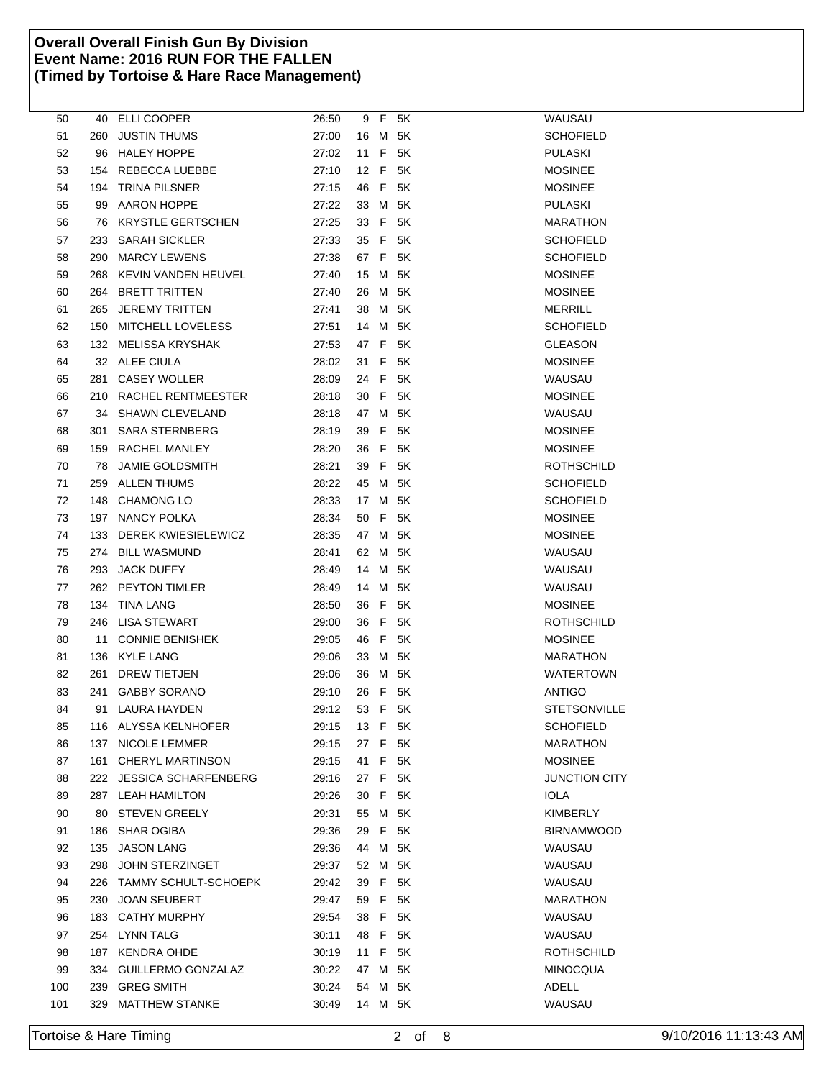| 50  |       | 40 ELLI COOPER           | 26:50 |      |   | 9 F 5K  | WAUSAU               |
|-----|-------|--------------------------|-------|------|---|---------|----------------------|
| 51  | 260 - | <b>JUSTIN THUMS</b>      | 27:00 |      |   | 16 M 5K | <b>SCHOFIELD</b>     |
| 52  |       | 96 HALEY HOPPE           | 27:02 | 11 F |   | 5K      | <b>PULASKI</b>       |
| 53  |       | 154 REBECCA LUEBBE       | 27:10 | 12 F |   | 5K      | <b>MOSINEE</b>       |
| 54  |       | 194 TRINA PILSNER        | 27:15 |      |   | 46 F 5K | <b>MOSINEE</b>       |
| 55  |       | 99 AARON HOPPE           | 27:22 |      |   | 33 M 5K | <b>PULASKI</b>       |
| 56  |       | 76 KRYSTLE GERTSCHEN     | 27:25 | 33 F |   | 5K      | <b>MARATHON</b>      |
| 57  |       | 233 SARAH SICKLER        | 27:33 | 35 F |   | 5K      | <b>SCHOFIELD</b>     |
| 58  |       | 290 MARCY LEWENS         | 27:38 |      |   | 67 F 5K | <b>SCHOFIELD</b>     |
| 59  |       | 268 KEVIN VANDEN HEUVEL  | 27:40 | 15 M |   | 5K      | <b>MOSINEE</b>       |
| 60  |       | 264 BRETT TRITTEN        | 27:40 | 26   | M | 5K      | <b>MOSINEE</b>       |
| 61  |       | 265 JEREMY TRITTEN       | 27:41 | 38 M |   | 5K      | <b>MERRILL</b>       |
| 62  |       | 150 MITCHELL LOVELESS    | 27:51 | 14   |   | M 5K    | <b>SCHOFIELD</b>     |
| 63  |       | 132 MELISSA KRYSHAK      | 27:53 | 47 F |   | 5K      | <b>GLEASON</b>       |
| 64  |       | 32 ALEE CIULA            | 28:02 | 31 F |   | 5K      | <b>MOSINEE</b>       |
| 65  |       | 281 CASEY WOLLER         | 28:09 | 24 F |   | 5K      | WAUSAU               |
| 66  |       | 210 RACHEL RENTMEESTER   | 28:18 |      |   | 30 F 5K | <b>MOSINEE</b>       |
| 67  |       | 34 SHAWN CLEVELAND       | 28:18 |      |   | 47 M 5K | WAUSAU               |
| 68  | 301   | <b>SARA STERNBERG</b>    | 28:19 | 39 F |   | 5K      | <b>MOSINEE</b>       |
| 69  |       | 159 RACHEL MANLEY        | 28:20 | 36 F |   | 5K      | <b>MOSINEE</b>       |
| 70  | 78    | <b>JAMIE GOLDSMITH</b>   | 28:21 |      |   | 39 F 5K | ROTHSCHILD           |
| 71  |       | 259 ALLEN THUMS          | 28:22 | 45 M |   | 5K      | <b>SCHOFIELD</b>     |
| 72  |       | 148 CHAMONG LO           | 28:33 |      |   | 17 M 5K | <b>SCHOFIELD</b>     |
| 73  |       | 197 NANCY POLKA          | 28:34 | 50 F |   | 5K      | <b>MOSINEE</b>       |
| 74  |       | 133 DEREK KWIESIELEWICZ  | 28:35 |      |   | 47 M 5K | <b>MOSINEE</b>       |
| 75  | 274   | <b>BILL WASMUND</b>      | 28:41 | 62 M |   | 5K      | WAUSAU               |
| 76  |       | 293 JACK DUFFY           | 28:49 | 14   | M | 5K      | WAUSAU               |
| 77  |       | 262 PEYTON TIMLER        | 28:49 | 14   | M | 5K      | WAUSAU               |
| 78  |       | 134 TINA LANG            | 28:50 | 36 F |   | 5K      | <b>MOSINEE</b>       |
| 79  |       | 246 LISA STEWART         | 29:00 | 36 F |   | 5K      | ROTHSCHILD           |
| 80  |       | 11 CONNIE BENISHEK       | 29:05 | 46 F |   | 5K      | <b>MOSINEE</b>       |
| 81  |       | 136 KYLE LANG            | 29:06 |      |   | 33 M 5K | <b>MARATHON</b>      |
| 82  |       | 261 DREW TIETJEN         | 29:06 |      |   | 36 M 5K | WATERTOWN            |
| 83  | 241   | <b>GABBY SORANO</b>      | 29:10 | 26 F |   | 5K      | <b>ANTIGO</b>        |
| 84  |       | 91 LAURA HAYDEN          | 29:12 | 53 F |   | 5K      | <b>STETSONVILLE</b>  |
| 85  |       | 116 ALYSSA KELNHOFER     | 29:15 |      |   | 13 F 5K | <b>SCHOFIELD</b>     |
| 86  |       | 137 NICOLE LEMMER        | 29:15 |      |   | 27 F 5K | <b>MARATHON</b>      |
| 87  |       | 161 CHERYL MARTINSON     | 29:15 | 41 F |   | 5K      | <b>MOSINEE</b>       |
| 88  |       | 222 JESSICA SCHARFENBERG | 29:16 |      |   | 27 F 5K | <b>JUNCTION CITY</b> |
| 89  |       | 287 LEAH HAMILTON        | 29:26 |      |   | 30 F 5K | <b>IOLA</b>          |
| 90  |       | 80 STEVEN GREELY         | 29:31 |      |   | 55 M 5K | <b>KIMBERLY</b>      |
| 91  |       | 186 SHAR OGIBA           | 29:36 |      |   | 29 F 5K | <b>BIRNAMWOOD</b>    |
| 92  |       | 135 JASON LANG           | 29:36 | 44 M |   | 5K      | WAUSAU               |
| 93  |       | 298 JOHN STERZINGET      | 29:37 |      |   | 52 M 5K | WAUSAU               |
| 94  |       | 226 TAMMY SCHULT-SCHOEPK | 29:42 |      |   | 39 F 5K | WAUSAU               |
| 95  |       | 230 JOAN SEUBERT         | 29:47 |      |   | 59 F 5K | <b>MARATHON</b>      |
| 96  |       | 183 CATHY MURPHY         | 29:54 |      |   | 38 F 5K | WAUSAU               |
| 97  |       | 254 LYNN TALG            | 30:11 |      |   | 48 F 5K | WAUSAU               |
| 98  |       | 187 KENDRA OHDE          | 30:19 |      |   | 11 F 5K | <b>ROTHSCHILD</b>    |
| 99  |       | 334 GUILLERMO GONZALAZ   | 30:22 |      |   | 47 M 5K | <b>MINOCQUA</b>      |
| 100 |       | 239 GREG SMITH           | 30:24 |      |   | 54 M 5K | ADELL                |
| 101 |       | 329 MATTHEW STANKE       | 30:49 |      |   | 14 M 5K | WAUSAU               |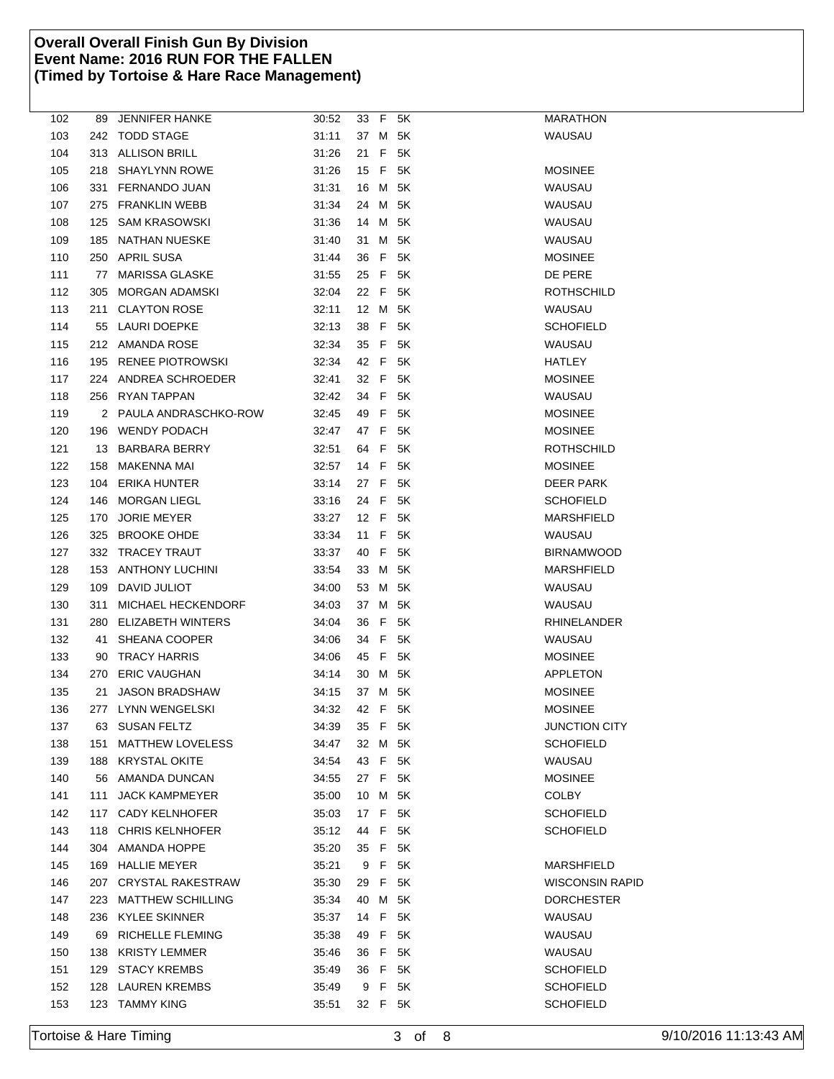| 102 | 89  | <b>JENNIFER HANKE</b>     | 30:52 |      |     | 33 F 5K | MARATHON               |
|-----|-----|---------------------------|-------|------|-----|---------|------------------------|
| 103 |     | 242 TODD STAGE            | 31:11 |      |     | 37 M 5K | WAUSAU                 |
| 104 |     | 313 ALLISON BRILL         | 31:26 | 21 F |     | 5K      |                        |
| 105 |     | 218 SHAYLYNN ROWE         | 31:26 | 15   |     | F 5K    | <b>MOSINEE</b>         |
| 106 | 331 | FERNANDO JUAN             | 31:31 | 16   | M   | 5K      | WAUSAU                 |
| 107 | 275 | FRANKLIN WEBB             | 31:34 | 24   | M   | 5K      | WAUSAU                 |
| 108 | 125 | <b>SAM KRASOWSKI</b>      | 31:36 | 14   |     | M 5K    | WAUSAU                 |
| 109 | 185 | NATHAN NUESKE             | 31:40 |      |     | 31 M 5K | WAUSAU                 |
| 110 | 250 | <b>APRIL SUSA</b>         | 31:44 | 36   |     | F 5K    | <b>MOSINEE</b>         |
| 111 | 77  | <b>MARISSA GLASKE</b>     | 31:55 | 25 F |     | 5K      | DE PERE                |
| 112 | 305 | <b>MORGAN ADAMSKI</b>     | 32:04 | 22 F |     | 5K      | ROTHSCHILD             |
| 113 | 211 | <b>CLAYTON ROSE</b>       | 32:11 | 12 M |     | 5K      | WAUSAU                 |
| 114 | 55  | LAURI DOEPKE              | 32:13 | 38   | F.  | 5K      | <b>SCHOFIELD</b>       |
| 115 |     | 212 AMANDA ROSE           | 32:34 |      |     | 35 F 5K | WAUSAU                 |
| 116 |     | 195 RENEE PIOTROWSKI      | 32:34 | 42 F |     | 5K      | HATLEY                 |
| 117 | 224 | ANDREA SCHROEDER          | 32:41 |      |     | 32 F 5K | <b>MOSINEE</b>         |
| 118 |     | 256 RYAN TAPPAN           | 32:42 |      |     | 34 F 5K | WAUSAU                 |
| 119 |     | 2 PAULA ANDRASCHKO-ROW    | 32:45 | 49   | - F | 5K      | <b>MOSINEE</b>         |
| 120 |     | 196 WENDY PODACH          | 32:47 | 47 F |     | 5K      | <b>MOSINEE</b>         |
| 121 | 13  | BARBARA BERRY             | 32:51 | 64   | F.  | - 5K    | ROTHSCHILD             |
| 122 | 158 | MAKENNA MAI               | 32:57 | 14   | F   | 5K      | <b>MOSINEE</b>         |
| 123 | 104 | ERIKA HUNTER              | 33:14 | 27 F |     | 5K      | DEER PARK              |
| 124 | 146 | <b>MORGAN LIEGL</b>       | 33:16 | 24 F |     | 5K      | <b>SCHOFIELD</b>       |
| 125 | 170 | <b>JORIE MEYER</b>        | 33:27 |      |     | 12 F 5K | MARSHFIELD             |
| 126 | 325 | <b>BROOKE OHDE</b>        | 33:34 | 11 F |     | - 5K    | WAUSAU                 |
| 127 |     | 332 TRACEY TRAUT          | 33:37 | 40   | F.  | 5K      | <b>BIRNAMWOOD</b>      |
| 128 | 153 | <b>ANTHONY LUCHINI</b>    | 33:54 | 33 M |     | 5K      | MARSHFIELD             |
| 129 | 109 | DAVID JULIOT              | 34:00 |      |     | 53 M 5K | WAUSAU                 |
| 130 | 311 | <b>MICHAEL HECKENDORF</b> | 34:03 | 37   | M   | 5K      | WAUSAU                 |
| 131 | 280 | ELIZABETH WINTERS         | 34:04 | 36   | -F  | 5K      | RHINELANDER            |
| 132 | 41  | SHEANA COOPER             | 34:06 | 34   | -F  | 5K      | WAUSAU                 |
| 133 | 90  | <b>TRACY HARRIS</b>       | 34:06 | 45 F |     | 5K      | <b>MOSINEE</b>         |
| 134 | 270 | <b>ERIC VAUGHAN</b>       | 34:14 | 30   | M   | 5K      | APPLETON               |
| 135 | 21  | <b>JASON BRADSHAW</b>     | 34:15 | 37 M |     | 5K      | <b>MOSINEE</b>         |
| 136 |     | 277 LYNN WENGELSKI        | 34:32 | 42 F |     | 5K      | <b>MOSINEE</b>         |
| 137 |     | 63 SUSAN FELTZ            | 34:39 |      |     | 35 F 5K | <b>JUNCTION CITY</b>   |
| 138 | 151 | <b>MATTHEW LOVELESS</b>   | 34:47 | 32 M |     | 5K      | <b>SCHOFIELD</b>       |
| 139 |     | 188 KRYSTAL OKITE         | 34:54 |      |     | 43 F 5K | WAUSAU                 |
| 140 |     | 56 AMANDA DUNCAN          | 34:55 |      |     | 27 F 5K | <b>MOSINEE</b>         |
| 141 | 111 | <b>JACK KAMPMEYER</b>     | 35:00 |      |     | 10 M 5K | <b>COLBY</b>           |
| 142 |     | 117 CADY KELNHOFER        | 35:03 |      |     | 17 F 5K | SCHOFIELD              |
| 143 |     | 118 CHRIS KELNHOFER       | 35:12 | 44 F |     | 5K      | <b>SCHOFIELD</b>       |
| 144 |     | 304 AMANDA HOPPE          | 35:20 | 35 F |     | 5K      |                        |
| 145 |     | 169 HALLIE MEYER          | 35:21 | 9    | - F | 5K      | <b>MARSHFIELD</b>      |
| 146 | 207 | CRYSTAL RAKESTRAW         | 35:30 | 29   | F.  | 5K      | <b>WISCONSIN RAPID</b> |
| 147 | 223 | <b>MATTHEW SCHILLING</b>  | 35:34 | 40   | M   | 5K      | <b>DORCHESTER</b>      |
| 148 | 236 | <b>KYLEE SKINNER</b>      | 35:37 |      |     | 14 F 5K | WAUSAU                 |
| 149 | 69  | RICHELLE FLEMING          | 35:38 |      |     | 49 F 5K | WAUSAU                 |
| 150 | 138 | <b>KRISTY LEMMER</b>      | 35:46 | 36   |     | F 5K    | WAUSAU                 |
| 151 | 129 | <b>STACY KREMBS</b>       | 35:49 |      |     | 36 F 5K | <b>SCHOFIELD</b>       |
| 152 | 128 | <b>LAUREN KREMBS</b>      | 35:49 | 9    | F.  | 5K      | <b>SCHOFIELD</b>       |
| 153 |     | 123 TAMMY KING            | 35:51 |      |     | 32 F 5K | SCHOFIELD              |
|     |     |                           |       |      |     |         |                        |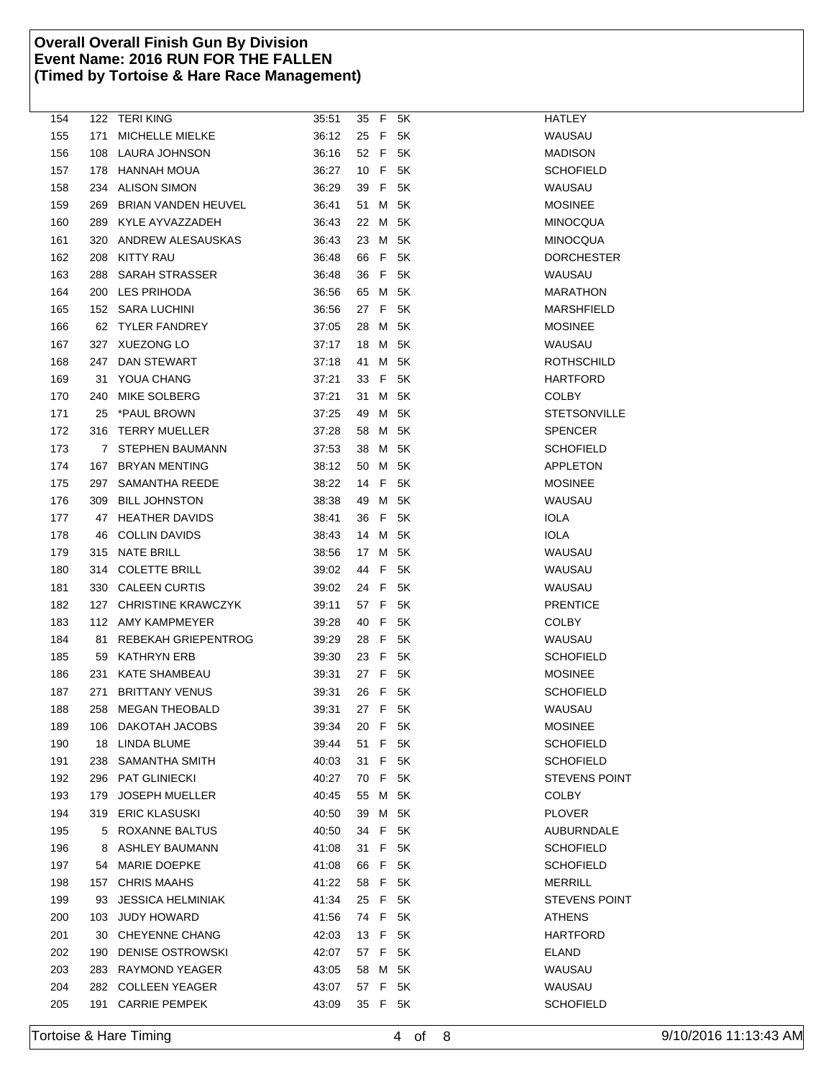| 154 |     | 122 TERI KING            | 35:51 |      |    | 35 F 5K | <b>HATLEY</b>        |
|-----|-----|--------------------------|-------|------|----|---------|----------------------|
| 155 | 171 | MICHELLE MIELKE          | 36:12 | 25 F |    | 5K      | WAUSAU               |
| 156 |     | 108 LAURA JOHNSON        | 36:16 | 52 F |    | 5K      | <b>MADISON</b>       |
| 157 |     | 178 HANNAH MOUA          | 36:27 | 10 F |    | 5K      | <b>SCHOFIELD</b>     |
| 158 |     | 234 ALISON SIMON         | 36:29 | 39   | F  | 5K      | WAUSAU               |
| 159 |     | 269 BRIAN VANDEN HEUVEL  | 36:41 | 51   | M  | 5K      | <b>MOSINEE</b>       |
| 160 |     | 289 KYLE AYVAZZADEH      | 36:43 | 22   |    | M 5K    | <b>MINOCQUA</b>      |
| 161 |     | 320 ANDREW ALESAUSKAS    | 36:43 |      |    | 23 M 5K | MINOCQUA             |
| 162 | 208 | <b>KITTY RAU</b>         | 36:48 | 66   | F  | 5K      | <b>DORCHESTER</b>    |
| 163 |     | 288 SARAH STRASSER       | 36:48 | 36   | F  | 5K      | WAUSAU               |
| 164 |     | 200 LES PRIHODA          | 36:56 | 65   | M  | 5K      | <b>MARATHON</b>      |
| 165 |     | 152 SARA LUCHINI         | 36:56 | 27   | F  | 5K      | MARSHFIELD           |
| 166 |     | 62 TYLER FANDREY         | 37:05 | 28   | M  | 5K      | <b>MOSINEE</b>       |
| 167 |     | 327 XUEZONG LO           | 37:17 | 18   |    | M 5K    | WAUSAU               |
| 168 |     | 247 DAN STEWART          | 37:18 | 41   | M  | 5K      | <b>ROTHSCHILD</b>    |
| 169 |     | 31 YOUA CHANG            | 37:21 | 33 F |    | - 5K    | HARTFORD             |
| 170 |     | 240 MIKE SOLBERG         | 37:21 | 31   |    | M 5K    | COLBY                |
| 171 | 25  | *PAUL BROWN              | 37:25 | 49   | M  | 5K      | STETSONVILLE         |
| 172 |     | 316 TERRY MUELLER        | 37:28 | 58   | M  | 5K      | SPENCER              |
| 173 |     | 7 STEPHEN BAUMANN        | 37:53 | 38   | M  | 5K      | <b>SCHOFIELD</b>     |
| 174 |     | 167 BRYAN MENTING        | 38:12 | 50   | M  | 5K      | APPLETON             |
| 175 |     | 297 SAMANTHA REEDE       | 38:22 | 14   | F  | 5K      | <b>MOSINEE</b>       |
| 176 |     | 309 BILL JOHNSTON        | 38:38 | 49   |    | M 5K    | WAUSAU               |
| 177 |     | 47 HEATHER DAVIDS        | 38:41 | 36 F |    | - 5K    | <b>IOLA</b>          |
| 178 | 46  | <b>COLLIN DAVIDS</b>     | 38:43 | 14   | м  | 5K      | <b>IOLA</b>          |
| 179 |     | 315 NATE BRILL           | 38:56 | 17   | M  | 5K      | WAUSAU               |
| 180 |     | 314 COLETTE BRILL        | 39:02 | 44   | F  | 5K      | WAUSAU               |
| 181 |     | 330 CALEEN CURTIS        | 39:02 | 24   | F. | 5K      | WAUSAU               |
| 182 |     | 127 CHRISTINE KRAWCZYK   | 39:11 | 57 F |    | 5K      | <b>PRENTICE</b>      |
| 183 |     | 112 AMY KAMPMEYER        | 39:28 | 40 F |    | 5K      | <b>COLBY</b>         |
| 184 |     | 81 REBEKAH GRIEPENTROG   | 39:29 | 28 F |    | 5K      | WAUSAU               |
| 185 |     | 59 KATHRYN ERB           | 39:30 | 23 F |    | 5K      | <b>SCHOFIELD</b>     |
| 186 | 231 | KATE SHAMBEAU            | 39:31 | 27 F |    | 5K      | <b>MOSINEE</b>       |
| 187 | 271 | <b>BRITTANY VENUS</b>    | 39:31 | 26   | F  | 5K      | <b>SCHOFIELD</b>     |
| 188 |     | 258 MEGAN THEOBALD       | 39:31 | 27 F |    | 5K      | WAUSAU               |
| 189 |     | 106 DAKOTAH JACOBS       | 39:34 | 20 F |    | - 5K    | <b>MOSINEE</b>       |
| 190 |     | 18 LINDA BLUME           | 39:44 | 51   | F  | 5K      | <b>SCHOFIELD</b>     |
| 191 |     | 238 SAMANTHA SMITH       | 40:03 | 31 F |    | 5K      | <b>SCHOFIELD</b>     |
| 192 |     | 296 PAT GLINIECKI        | 40:27 | 70 F |    | 5K      | <b>STEVENS POINT</b> |
| 193 |     | 179 JOSEPH MUELLER       | 40:45 |      |    | 55 M 5K | COLBY                |
| 194 |     | 319 ERIC KLASUSKI        | 40:50 |      |    | 39 M 5K | <b>PLOVER</b>        |
| 195 |     | 5 ROXANNE BALTUS         | 40:50 | 34   | F  | 5K      | AUBURNDALE           |
| 196 |     | 8 ASHLEY BAUMANN         | 41:08 | 31 F |    | 5K      | SCHOFIELD            |
| 197 |     | 54 MARIE DOEPKE          | 41:08 | 66   | F  | 5K      | <b>SCHOFIELD</b>     |
| 198 |     | 157 CHRIS MAAHS          | 41:22 | 58   | F  | 5K      | MERRILL              |
| 199 | 93  | <b>JESSICA HELMINIAK</b> | 41:34 | 25 F |    | 5K      | <b>STEVENS POINT</b> |
| 200 |     | 103 JUDY HOWARD          | 41:56 | 74 F |    | 5K      | ATHENS               |
| 201 |     | 30 CHEYENNE CHANG        | 42:03 | 13 F |    | - 5K    | HARTFORD             |
| 202 | 190 | <b>DENISE OSTROWSKI</b>  | 42:07 | 57 F |    | 5K      | ELAND                |
| 203 |     | 283 RAYMOND YEAGER       | 43:05 | 58   |    | M 5K    | WAUSAU               |
| 204 |     | 282 COLLEEN YEAGER       | 43:07 | 57 F |    | 5K      | WAUSAU               |
| 205 |     | 191 CARRIE PEMPEK        | 43:09 |      |    | 35 F 5K | <b>SCHOFIELD</b>     |
|     |     |                          |       |      |    |         |                      |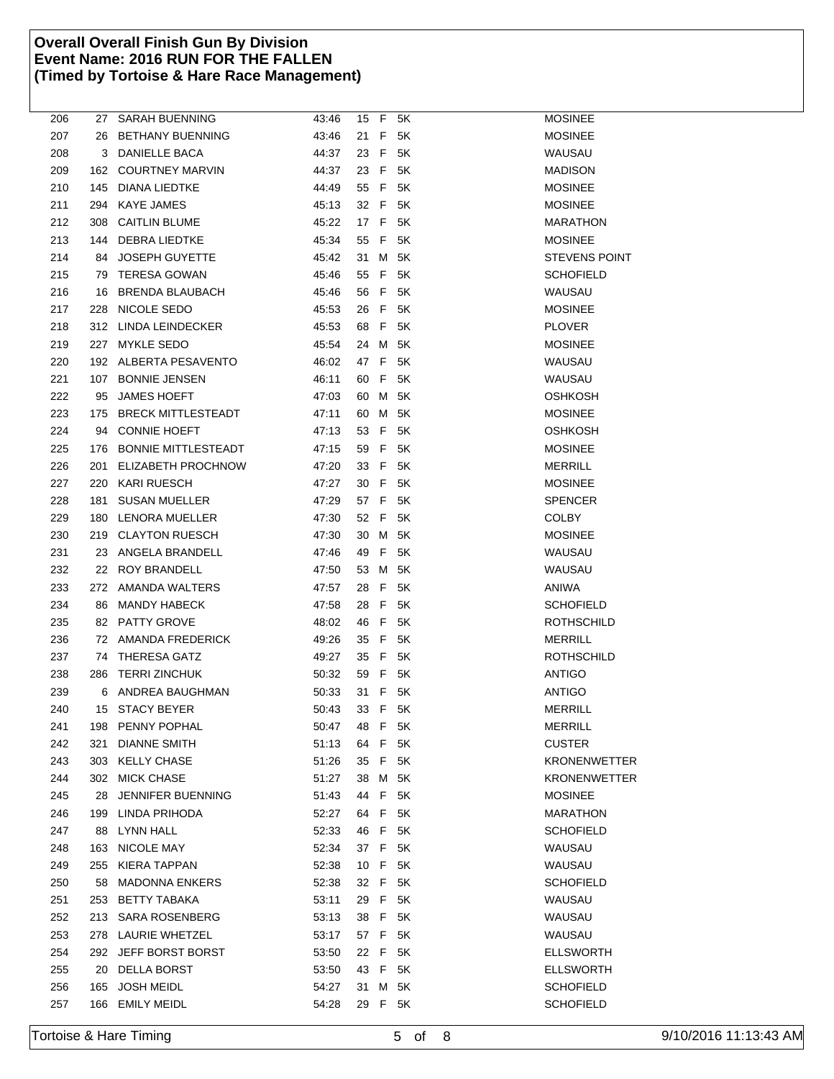| 206 | 27  | <b>SARAH BUENNING</b>   | 43:46 |      |     | 15 F 5K | <b>MOSINEE</b>       |
|-----|-----|-------------------------|-------|------|-----|---------|----------------------|
| 207 | 26  | <b>BETHANY BUENNING</b> | 43:46 | 21   | F   | 5K      | <b>MOSINEE</b>       |
| 208 |     | 3 DANIELLE BACA         | 44:37 | 23   | F   | 5K      | WAUSAU               |
| 209 |     | 162 COURTNEY MARVIN     | 44:37 | 23   | - F | 5K      | <b>MADISON</b>       |
| 210 |     | 145 DIANA LIEDTKE       | 44:49 |      |     | 55 F 5K | <b>MOSINEE</b>       |
| 211 |     | 294 KAYE JAMES          | 45:13 | 32 F |     | 5K      | <b>MOSINEE</b>       |
| 212 |     | 308 CAITLIN BLUME       | 45:22 | 17 F |     | 5K      | <b>MARATHON</b>      |
| 213 |     | 144 DEBRA LIEDTKE       | 45:34 | 55 F |     | 5K      | <b>MOSINEE</b>       |
| 214 | 84  | JOSEPH GUYETTE          | 45:42 | 31   | M   | 5K      | <b>STEVENS POINT</b> |
| 215 | 79  | <b>TERESA GOWAN</b>     | 45:46 | 55   | F   | 5K      | <b>SCHOFIELD</b>     |
| 216 | 16  | <b>BRENDA BLAUBACH</b>  | 45:46 | 56   | F   | 5K      | WAUSAU               |
| 217 |     | 228 NICOLE SEDO         | 45:53 | 26   | -F  | 5K      | <b>MOSINEE</b>       |
| 218 |     | 312 LINDA LEINDECKER    | 45:53 | 68   | F.  | 5K      | <b>PLOVER</b>        |
| 219 |     | 227 MYKLE SEDO          | 45:54 | 24   | M   | 5K      | <b>MOSINEE</b>       |
| 220 |     | 192 ALBERTA PESAVENTO   | 46:02 | 47 F |     | 5K      | WAUSAU               |
| 221 |     | 107 BONNIE JENSEN       | 46:11 | 60 F |     | 5K      | WAUSAU               |
| 222 |     | 95 JAMES HOEFT          | 47:03 |      |     | 60 M 5K | OSHKOSH              |
| 223 |     | 175 BRECK MITTLESTEADT  | 47:11 | 60   | M   | 5K      | <b>MOSINEE</b>       |
| 224 |     | 94 CONNIE HOEFT         | 47:13 | 53   | F.  | 5K      | OSHKOSH              |
|     |     |                         |       |      |     |         |                      |
| 225 |     | 176 BONNIE MITTLESTEADT | 47:15 | 59   | F   | 5K      | <b>MOSINEE</b>       |
| 226 |     | 201 ELIZABETH PROCHNOW  | 47:20 | 33   | F   | 5K      | <b>MERRILL</b>       |
| 227 |     | 220 KARI RUESCH         | 47:27 | 30   | F   | 5K      | <b>MOSINEE</b>       |
| 228 | 181 | <b>SUSAN MUELLER</b>    | 47:29 | 57 F |     | 5K      | <b>SPENCER</b>       |
| 229 |     | 180 LENORA MUELLER      | 47:30 | 52 F |     | 5K      | <b>COLBY</b>         |
| 230 |     | 219 CLAYTON RUESCH      | 47:30 | 30   |     | M 5K    | <b>MOSINEE</b>       |
| 231 | 23  | ANGELA BRANDELL         | 47:46 | 49   | F   | 5K      | WAUSAU               |
| 232 | 22  | ROY BRANDELL            | 47:50 | 53   | M   | 5K      | WAUSAU               |
| 233 |     | 272 AMANDA WALTERS      | 47:57 | 28   | F   | 5K      | ANIWA                |
| 234 |     | 86 MANDY HABECK         | 47:58 | 28   |     | F 5K    | <b>SCHOFIELD</b>     |
| 235 |     | 82 PATTY GROVE          | 48:02 | 46   | F   | 5K      | ROTHSCHILD           |
| 236 |     | 72 AMANDA FREDERICK     | 49:26 | 35   | F   | 5K      | <b>MERRILL</b>       |
| 237 | 74  | <b>THERESA GATZ</b>     | 49:27 | 35 F |     | 5K      | ROTHSCHILD           |
| 238 | 286 | <b>TERRI ZINCHUK</b>    | 50:32 | 59   | -F  | 5K      | ANTIGO               |
| 239 | 6   | ANDREA BAUGHMAN         | 50:33 | 31   | F   | 5K      | <b>ANTIGO</b>        |
| 240 |     | 15 STACY BEYER          | 50:43 | 33   | F   | 5K      | <b>MERRILL</b>       |
| 241 |     | 198 PENNY POPHAL        | 50:47 | 48   | F   | 5K      | <b>MERRILL</b>       |
| 242 | 321 | <b>DIANNE SMITH</b>     | 51:13 | 64   | F   | 5K      | <b>CUSTER</b>        |
| 243 |     | 303 KELLY CHASE         | 51:26 | 35   | F   | 5K      | <b>KRONENWETTER</b>  |
| 244 |     | 302 MICK CHASE          | 51:27 | 38   |     | M 5K    | <b>KRONENWETTER</b>  |
| 245 | 28  | JENNIFER BUENNING       | 51:43 | 44 F |     | 5K      | <b>MOSINEE</b>       |
| 246 |     | 199 LINDA PRIHODA       | 52:27 |      |     | 64 F 5K | <b>MARATHON</b>      |
| 247 |     | 88 LYNN HALL            | 52:33 | 46 F |     | 5K      | <b>SCHOFIELD</b>     |
| 248 |     | 163 NICOLE MAY          | 52:34 | 37 F |     | 5K      | WAUSAU               |
| 249 |     | 255 KIERA TAPPAN        | 52:38 | 10 F |     | 5K      | WAUSAU               |
| 250 |     | 58 MADONNA ENKERS       | 52:38 | 32 F |     | 5K      | <b>SCHOFIELD</b>     |
| 251 | 253 | BETTY TABAKA            | 53:11 | 29   | - F | 5K      | WAUSAU               |
| 252 |     | 213 SARA ROSENBERG      | 53:13 | 38 F |     | 5K      | WAUSAU               |
| 253 |     | 278 LAURIE WHETZEL      | 53:17 | 57 F |     | 5K      | WAUSAU               |
| 254 |     | 292 JEFF BORST BORST    | 53:50 | 22 F |     | - 5K    | <b>ELLSWORTH</b>     |
| 255 | 20  | <b>DELLA BORST</b>      | 53:50 | 43   | F   | 5K      | <b>ELLSWORTH</b>     |
| 256 | 165 | <b>JOSH MEIDL</b>       | 54:27 | 31 M |     | 5K      | <b>SCHOFIELD</b>     |
| 257 |     | 166 EMILY MEIDL         | 54:28 |      |     | 29 F 5K | <b>SCHOFIELD</b>     |
|     |     |                         |       |      |     |         |                      |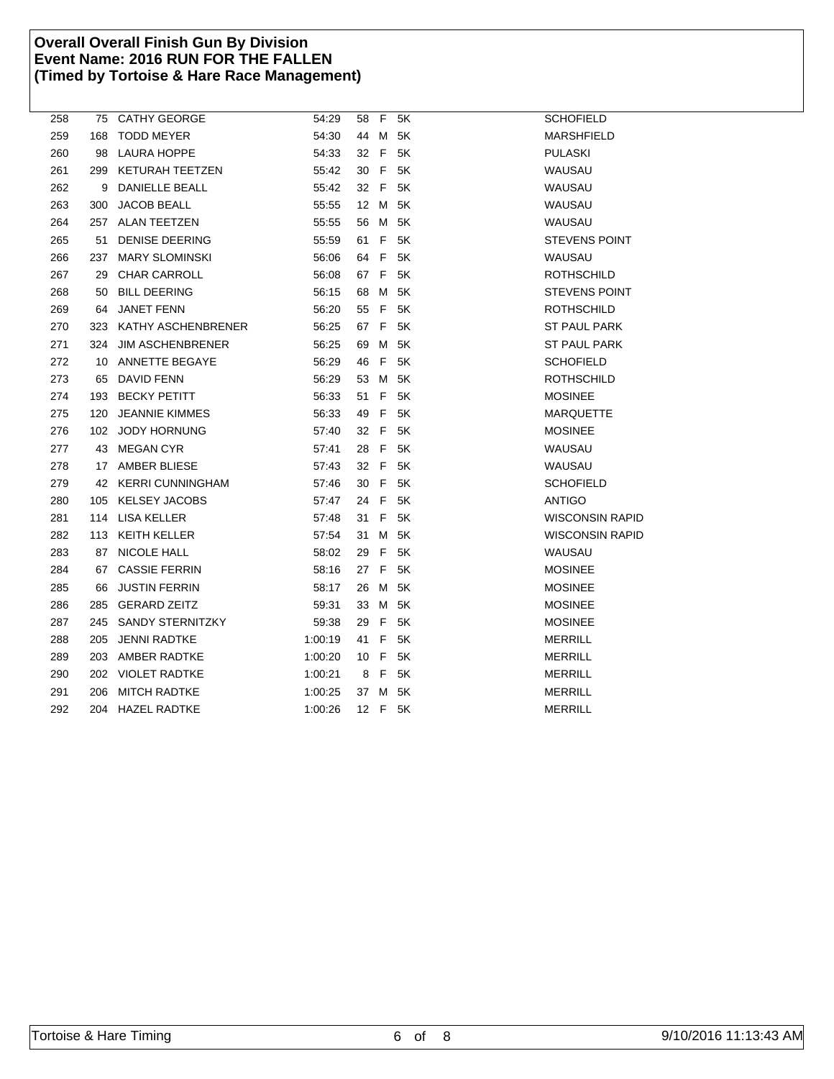| 258 |     | 75 CATHY GEORGE         | 54:29   |      | 58 F 5K | <b>SCHOFIELD</b>       |
|-----|-----|-------------------------|---------|------|---------|------------------------|
| 259 | 168 | <b>TODD MEYER</b>       | 54:30   |      | 44 M 5K | MARSHFIELD             |
| 260 | 98  | <b>LAURA HOPPE</b>      | 54:33   |      | 32 F 5K | <b>PULASKI</b>         |
| 261 | 299 | KETURAH TEETZEN         | 55:42   |      | 30 F 5K | WAUSAU                 |
| 262 |     | 9 DANIELLE BEALL        | 55:42   |      | 32 F 5K | WAUSAU                 |
| 263 | 300 | <b>JACOB BEALL</b>      | 55:55   |      | 12 M 5K | WAUSAU                 |
| 264 |     | 257 ALAN TEETZEN        | 55:55   |      | 56 M 5K | WAUSAU                 |
| 265 |     | 51 DENISE DEERING       | 55:59   |      | 61 F 5K | <b>STEVENS POINT</b>   |
| 266 | 237 | <b>MARY SLOMINSKI</b>   | 56:06   |      | 64 F 5K | WAUSAU                 |
| 267 | 29  | CHAR CARROLL            | 56:08   |      | 67 F 5K | <b>ROTHSCHILD</b>      |
| 268 | 50  | <b>BILL DEERING</b>     | 56:15   |      | 68 M 5K | <b>STEVENS POINT</b>   |
| 269 | 64  | <b>JANET FENN</b>       | 56:20   |      | 55 F 5K | <b>ROTHSCHILD</b>      |
| 270 |     | 323 KATHY ASCHENBRENER  | 56:25   |      | 67 F 5K | <b>ST PAUL PARK</b>    |
| 271 | 324 | <b>JIM ASCHENBRENER</b> | 56:25   |      | 69 M 5K | <b>ST PAUL PARK</b>    |
| 272 | 10  | ANNETTE BEGAYE          | 56:29   | 46 F | 5K      | <b>SCHOFIELD</b>       |
| 273 | 65  | DAVID FENN              | 56:29   |      | 53 M 5K | <b>ROTHSCHILD</b>      |
| 274 |     | 193 BECKY PETITT        | 56:33   |      | 51 F 5K | <b>MOSINEE</b>         |
| 275 |     | 120 JEANNIE KIMMES      | 56:33   |      | 49 F 5K | <b>MARQUETTE</b>       |
| 276 |     | 102 JODY HORNUNG        | 57:40   |      | 32 F 5K | <b>MOSINEE</b>         |
| 277 |     | 43 MEGAN CYR            | 57:41   |      | 28 F 5K | WAUSAU                 |
| 278 |     | 17 AMBER BLIESE         | 57:43   |      | 32 F 5K | WAUSAU                 |
| 279 |     | 42 KERRI CUNNINGHAM     | 57:46   |      | 30 F 5K | <b>SCHOFIELD</b>       |
| 280 |     | 105 KELSEY JACOBS       | 57:47   |      | 24 F 5K | <b>ANTIGO</b>          |
| 281 |     | 114 LISA KELLER         | 57:48   |      | 31 F 5K | <b>WISCONSIN RAPID</b> |
| 282 |     | 113 KEITH KELLER        | 57:54   |      | 31 M 5K | <b>WISCONSIN RAPID</b> |
| 283 |     | 87 NICOLE HALL          | 58:02   |      | 29 F 5K | WAUSAU                 |
| 284 |     | 67 CASSIE FERRIN        | 58:16   |      | 27 F 5K | <b>MOSINEE</b>         |
| 285 | 66  | <b>JUSTIN FERRIN</b>    | 58:17   |      | 26 M 5K | <b>MOSINEE</b>         |
| 286 |     | 285 GERARD ZEITZ        | 59:31   |      | 33 M 5K | <b>MOSINEE</b>         |
| 287 |     | 245 SANDY STERNITZKY    | 59:38   |      | 29 F 5K | <b>MOSINEE</b>         |
| 288 | 205 | JENNI RADTKE            | 1:00:19 |      | 41 F 5K | <b>MERRILL</b>         |
| 289 |     | 203 AMBER RADTKE        | 1:00:20 |      | 10 F 5K | <b>MERRILL</b>         |
| 290 |     | 202 VIOLET RADTKE       | 1:00:21 |      | 8 F 5K  | MERRILL                |
| 291 | 206 | <b>MITCH RADTKE</b>     | 1:00:25 |      | 37 M 5K | <b>MERRILL</b>         |
| 292 |     | 204 HAZEL RADTKE        | 1:00:26 |      | 12 F 5K | <b>MERRILL</b>         |
|     |     |                         |         |      |         |                        |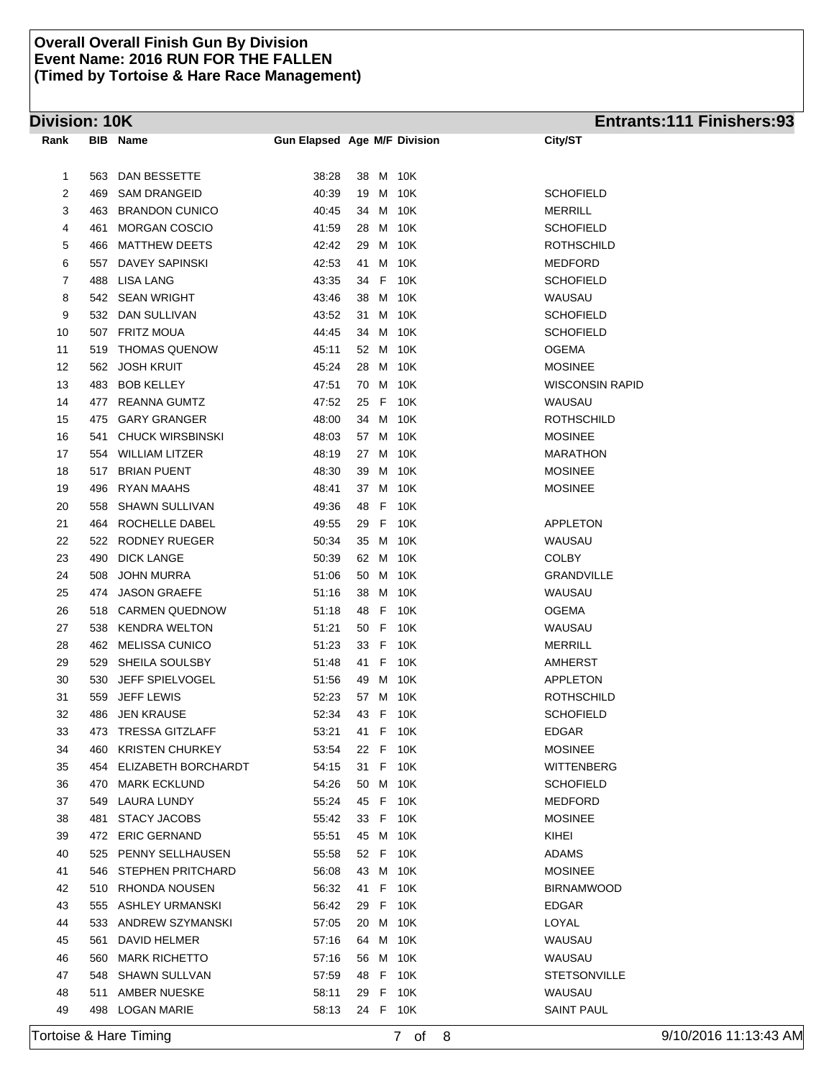# **Division: 10K Entrants:111 Finishers:93**

| DAN BESSETTE<br>38:28<br>38 M 10K<br>1<br>563<br>$\overline{c}$<br><b>SCHOFIELD</b><br>469<br><b>SAM DRANGEID</b><br>40:39<br>19 M<br>10K<br>3<br>463<br><b>BRANDON CUNICO</b><br>40:45<br>34 M 10K<br><b>MERRILL</b><br><b>MORGAN COSCIO</b><br>M 10K<br><b>SCHOFIELD</b><br>4<br>41:59<br>28<br>461<br><b>MATTHEW DEETS</b><br>42:42<br>M 10K<br><b>ROTHSCHILD</b><br>5<br>29<br>466<br>6<br>DAVEY SAPINSKI<br>42:53<br>41 M 10K<br><b>MEDFORD</b><br>557<br>7<br><b>LISA LANG</b><br>34 F 10K<br><b>SCHOFIELD</b><br>488<br>43:35<br>8<br><b>SEAN WRIGHT</b><br>10K<br>WAUSAU<br>542<br>43:46<br>38<br>M<br>9<br>DAN SULLIVAN<br>43:52<br>31 M 10K<br><b>SCHOFIELD</b><br>532<br><b>FRITZ MOUA</b><br>10K<br>10<br>507<br>44:45<br>34<br>M<br><b>SCHOFIELD</b><br><b>THOMAS QUENOW</b><br>52 M 10K<br>11<br>45:11<br>OGEMA<br>519<br><b>JOSH KRUIT</b><br>45:24<br>M 10K<br><b>MOSINEE</b><br>12<br>562<br>28<br><b>BOB KELLEY</b><br>47:51<br>70 M 10K<br>WISCONSIN RAPID<br>13<br>483<br><b>REANNA GUMTZ</b><br>47:52<br>25 F 10K<br>WAUSAU<br>14<br>477<br><b>GARY GRANGER</b><br>15<br>475<br>48:00<br>34 M 10K<br>ROTHSCHILD<br><b>CHUCK WIRSBINSKI</b><br>57 M 10K<br><b>MOSINEE</b><br>16<br>541<br>48:03<br><b>MARATHON</b><br>17<br>554<br>WILLIAM LITZER<br>48:19<br>27 M 10K<br>48:30<br>18<br><b>BRIAN PUENT</b><br>39 M 10K<br><b>MOSINEE</b><br>517<br>19<br>496<br><b>RYAN MAAHS</b><br>48:41<br>37 M 10K<br><b>MOSINEE</b><br>F<br>10K<br>20<br>558<br><b>SHAWN SULLIVAN</b><br>49:36<br>48<br>ROCHELLE DABEL<br>49:55<br>29 F 10K<br>APPLETON<br>21<br>464<br>22<br><b>RODNEY RUEGER</b><br>35 M 10K<br>WAUSAU<br>522<br>50:34<br><b>DICK LANGE</b><br>62 M 10K<br>23<br>490<br>50:39<br>COLBY<br>24<br>508<br><b>JOHN MURRA</b><br>50 M<br>10K<br><b>GRANDVILLE</b><br>51:06<br><b>JASON GRAEFE</b><br>WAUSAU<br>25<br>474<br>51:16<br>38<br>M 10K<br><b>OGEMA</b><br>26<br>518 CARMEN QUEDNOW<br>51:18<br>48<br>F.<br>10K<br><b>KENDRA WELTON</b><br>50 F 10K<br>27<br>538<br>51:21<br>WAUSAU<br><b>MELISSA CUNICO</b><br>33 F<br>10K<br><b>MERRILL</b><br>28<br>462<br>51:23<br>SHEILA SOULSBY<br>41 F<br>10K<br><b>AMHERST</b><br>29<br>529<br>51:48 |
|------------------------------------------------------------------------------------------------------------------------------------------------------------------------------------------------------------------------------------------------------------------------------------------------------------------------------------------------------------------------------------------------------------------------------------------------------------------------------------------------------------------------------------------------------------------------------------------------------------------------------------------------------------------------------------------------------------------------------------------------------------------------------------------------------------------------------------------------------------------------------------------------------------------------------------------------------------------------------------------------------------------------------------------------------------------------------------------------------------------------------------------------------------------------------------------------------------------------------------------------------------------------------------------------------------------------------------------------------------------------------------------------------------------------------------------------------------------------------------------------------------------------------------------------------------------------------------------------------------------------------------------------------------------------------------------------------------------------------------------------------------------------------------------------------------------------------------------------------------------------------------------------------------------------------------------------------------------------------------------------------------------------------------------------------------------------------------------------------------------------------------------------------------------------------|
|                                                                                                                                                                                                                                                                                                                                                                                                                                                                                                                                                                                                                                                                                                                                                                                                                                                                                                                                                                                                                                                                                                                                                                                                                                                                                                                                                                                                                                                                                                                                                                                                                                                                                                                                                                                                                                                                                                                                                                                                                                                                                                                                                                              |
|                                                                                                                                                                                                                                                                                                                                                                                                                                                                                                                                                                                                                                                                                                                                                                                                                                                                                                                                                                                                                                                                                                                                                                                                                                                                                                                                                                                                                                                                                                                                                                                                                                                                                                                                                                                                                                                                                                                                                                                                                                                                                                                                                                              |
|                                                                                                                                                                                                                                                                                                                                                                                                                                                                                                                                                                                                                                                                                                                                                                                                                                                                                                                                                                                                                                                                                                                                                                                                                                                                                                                                                                                                                                                                                                                                                                                                                                                                                                                                                                                                                                                                                                                                                                                                                                                                                                                                                                              |
|                                                                                                                                                                                                                                                                                                                                                                                                                                                                                                                                                                                                                                                                                                                                                                                                                                                                                                                                                                                                                                                                                                                                                                                                                                                                                                                                                                                                                                                                                                                                                                                                                                                                                                                                                                                                                                                                                                                                                                                                                                                                                                                                                                              |
|                                                                                                                                                                                                                                                                                                                                                                                                                                                                                                                                                                                                                                                                                                                                                                                                                                                                                                                                                                                                                                                                                                                                                                                                                                                                                                                                                                                                                                                                                                                                                                                                                                                                                                                                                                                                                                                                                                                                                                                                                                                                                                                                                                              |
|                                                                                                                                                                                                                                                                                                                                                                                                                                                                                                                                                                                                                                                                                                                                                                                                                                                                                                                                                                                                                                                                                                                                                                                                                                                                                                                                                                                                                                                                                                                                                                                                                                                                                                                                                                                                                                                                                                                                                                                                                                                                                                                                                                              |
|                                                                                                                                                                                                                                                                                                                                                                                                                                                                                                                                                                                                                                                                                                                                                                                                                                                                                                                                                                                                                                                                                                                                                                                                                                                                                                                                                                                                                                                                                                                                                                                                                                                                                                                                                                                                                                                                                                                                                                                                                                                                                                                                                                              |
|                                                                                                                                                                                                                                                                                                                                                                                                                                                                                                                                                                                                                                                                                                                                                                                                                                                                                                                                                                                                                                                                                                                                                                                                                                                                                                                                                                                                                                                                                                                                                                                                                                                                                                                                                                                                                                                                                                                                                                                                                                                                                                                                                                              |
|                                                                                                                                                                                                                                                                                                                                                                                                                                                                                                                                                                                                                                                                                                                                                                                                                                                                                                                                                                                                                                                                                                                                                                                                                                                                                                                                                                                                                                                                                                                                                                                                                                                                                                                                                                                                                                                                                                                                                                                                                                                                                                                                                                              |
|                                                                                                                                                                                                                                                                                                                                                                                                                                                                                                                                                                                                                                                                                                                                                                                                                                                                                                                                                                                                                                                                                                                                                                                                                                                                                                                                                                                                                                                                                                                                                                                                                                                                                                                                                                                                                                                                                                                                                                                                                                                                                                                                                                              |
|                                                                                                                                                                                                                                                                                                                                                                                                                                                                                                                                                                                                                                                                                                                                                                                                                                                                                                                                                                                                                                                                                                                                                                                                                                                                                                                                                                                                                                                                                                                                                                                                                                                                                                                                                                                                                                                                                                                                                                                                                                                                                                                                                                              |
|                                                                                                                                                                                                                                                                                                                                                                                                                                                                                                                                                                                                                                                                                                                                                                                                                                                                                                                                                                                                                                                                                                                                                                                                                                                                                                                                                                                                                                                                                                                                                                                                                                                                                                                                                                                                                                                                                                                                                                                                                                                                                                                                                                              |
|                                                                                                                                                                                                                                                                                                                                                                                                                                                                                                                                                                                                                                                                                                                                                                                                                                                                                                                                                                                                                                                                                                                                                                                                                                                                                                                                                                                                                                                                                                                                                                                                                                                                                                                                                                                                                                                                                                                                                                                                                                                                                                                                                                              |
|                                                                                                                                                                                                                                                                                                                                                                                                                                                                                                                                                                                                                                                                                                                                                                                                                                                                                                                                                                                                                                                                                                                                                                                                                                                                                                                                                                                                                                                                                                                                                                                                                                                                                                                                                                                                                                                                                                                                                                                                                                                                                                                                                                              |
|                                                                                                                                                                                                                                                                                                                                                                                                                                                                                                                                                                                                                                                                                                                                                                                                                                                                                                                                                                                                                                                                                                                                                                                                                                                                                                                                                                                                                                                                                                                                                                                                                                                                                                                                                                                                                                                                                                                                                                                                                                                                                                                                                                              |
|                                                                                                                                                                                                                                                                                                                                                                                                                                                                                                                                                                                                                                                                                                                                                                                                                                                                                                                                                                                                                                                                                                                                                                                                                                                                                                                                                                                                                                                                                                                                                                                                                                                                                                                                                                                                                                                                                                                                                                                                                                                                                                                                                                              |
|                                                                                                                                                                                                                                                                                                                                                                                                                                                                                                                                                                                                                                                                                                                                                                                                                                                                                                                                                                                                                                                                                                                                                                                                                                                                                                                                                                                                                                                                                                                                                                                                                                                                                                                                                                                                                                                                                                                                                                                                                                                                                                                                                                              |
|                                                                                                                                                                                                                                                                                                                                                                                                                                                                                                                                                                                                                                                                                                                                                                                                                                                                                                                                                                                                                                                                                                                                                                                                                                                                                                                                                                                                                                                                                                                                                                                                                                                                                                                                                                                                                                                                                                                                                                                                                                                                                                                                                                              |
|                                                                                                                                                                                                                                                                                                                                                                                                                                                                                                                                                                                                                                                                                                                                                                                                                                                                                                                                                                                                                                                                                                                                                                                                                                                                                                                                                                                                                                                                                                                                                                                                                                                                                                                                                                                                                                                                                                                                                                                                                                                                                                                                                                              |
|                                                                                                                                                                                                                                                                                                                                                                                                                                                                                                                                                                                                                                                                                                                                                                                                                                                                                                                                                                                                                                                                                                                                                                                                                                                                                                                                                                                                                                                                                                                                                                                                                                                                                                                                                                                                                                                                                                                                                                                                                                                                                                                                                                              |
|                                                                                                                                                                                                                                                                                                                                                                                                                                                                                                                                                                                                                                                                                                                                                                                                                                                                                                                                                                                                                                                                                                                                                                                                                                                                                                                                                                                                                                                                                                                                                                                                                                                                                                                                                                                                                                                                                                                                                                                                                                                                                                                                                                              |
|                                                                                                                                                                                                                                                                                                                                                                                                                                                                                                                                                                                                                                                                                                                                                                                                                                                                                                                                                                                                                                                                                                                                                                                                                                                                                                                                                                                                                                                                                                                                                                                                                                                                                                                                                                                                                                                                                                                                                                                                                                                                                                                                                                              |
|                                                                                                                                                                                                                                                                                                                                                                                                                                                                                                                                                                                                                                                                                                                                                                                                                                                                                                                                                                                                                                                                                                                                                                                                                                                                                                                                                                                                                                                                                                                                                                                                                                                                                                                                                                                                                                                                                                                                                                                                                                                                                                                                                                              |
|                                                                                                                                                                                                                                                                                                                                                                                                                                                                                                                                                                                                                                                                                                                                                                                                                                                                                                                                                                                                                                                                                                                                                                                                                                                                                                                                                                                                                                                                                                                                                                                                                                                                                                                                                                                                                                                                                                                                                                                                                                                                                                                                                                              |
|                                                                                                                                                                                                                                                                                                                                                                                                                                                                                                                                                                                                                                                                                                                                                                                                                                                                                                                                                                                                                                                                                                                                                                                                                                                                                                                                                                                                                                                                                                                                                                                                                                                                                                                                                                                                                                                                                                                                                                                                                                                                                                                                                                              |
|                                                                                                                                                                                                                                                                                                                                                                                                                                                                                                                                                                                                                                                                                                                                                                                                                                                                                                                                                                                                                                                                                                                                                                                                                                                                                                                                                                                                                                                                                                                                                                                                                                                                                                                                                                                                                                                                                                                                                                                                                                                                                                                                                                              |
|                                                                                                                                                                                                                                                                                                                                                                                                                                                                                                                                                                                                                                                                                                                                                                                                                                                                                                                                                                                                                                                                                                                                                                                                                                                                                                                                                                                                                                                                                                                                                                                                                                                                                                                                                                                                                                                                                                                                                                                                                                                                                                                                                                              |
|                                                                                                                                                                                                                                                                                                                                                                                                                                                                                                                                                                                                                                                                                                                                                                                                                                                                                                                                                                                                                                                                                                                                                                                                                                                                                                                                                                                                                                                                                                                                                                                                                                                                                                                                                                                                                                                                                                                                                                                                                                                                                                                                                                              |
|                                                                                                                                                                                                                                                                                                                                                                                                                                                                                                                                                                                                                                                                                                                                                                                                                                                                                                                                                                                                                                                                                                                                                                                                                                                                                                                                                                                                                                                                                                                                                                                                                                                                                                                                                                                                                                                                                                                                                                                                                                                                                                                                                                              |
|                                                                                                                                                                                                                                                                                                                                                                                                                                                                                                                                                                                                                                                                                                                                                                                                                                                                                                                                                                                                                                                                                                                                                                                                                                                                                                                                                                                                                                                                                                                                                                                                                                                                                                                                                                                                                                                                                                                                                                                                                                                                                                                                                                              |
| JEFF SPIELVOGEL<br>49 M 10K<br>APPLETON<br>30<br>530<br>51:56                                                                                                                                                                                                                                                                                                                                                                                                                                                                                                                                                                                                                                                                                                                                                                                                                                                                                                                                                                                                                                                                                                                                                                                                                                                                                                                                                                                                                                                                                                                                                                                                                                                                                                                                                                                                                                                                                                                                                                                                                                                                                                                |
| <b>ROTHSCHILD</b><br>31<br>559<br><b>JEFF LEWIS</b><br>52:23<br>57 M 10K                                                                                                                                                                                                                                                                                                                                                                                                                                                                                                                                                                                                                                                                                                                                                                                                                                                                                                                                                                                                                                                                                                                                                                                                                                                                                                                                                                                                                                                                                                                                                                                                                                                                                                                                                                                                                                                                                                                                                                                                                                                                                                     |
| 32<br><b>JEN KRAUSE</b><br>52:34<br>10K<br><b>SCHOFIELD</b><br>486<br>43<br>F                                                                                                                                                                                                                                                                                                                                                                                                                                                                                                                                                                                                                                                                                                                                                                                                                                                                                                                                                                                                                                                                                                                                                                                                                                                                                                                                                                                                                                                                                                                                                                                                                                                                                                                                                                                                                                                                                                                                                                                                                                                                                                |
| 33<br>473 TRESSA GITZLAFF<br>53:21<br><b>EDGAR</b><br>41<br>F<br>10K                                                                                                                                                                                                                                                                                                                                                                                                                                                                                                                                                                                                                                                                                                                                                                                                                                                                                                                                                                                                                                                                                                                                                                                                                                                                                                                                                                                                                                                                                                                                                                                                                                                                                                                                                                                                                                                                                                                                                                                                                                                                                                         |
| <b>MOSINEE</b><br>34<br><b>KRISTEN CHURKEY</b><br>22 F 10K<br>460<br>53.54                                                                                                                                                                                                                                                                                                                                                                                                                                                                                                                                                                                                                                                                                                                                                                                                                                                                                                                                                                                                                                                                                                                                                                                                                                                                                                                                                                                                                                                                                                                                                                                                                                                                                                                                                                                                                                                                                                                                                                                                                                                                                                   |
| 35<br>ELIZABETH BORCHARDT<br>54:15<br>31 F 10K<br>WITTENBERG<br>454                                                                                                                                                                                                                                                                                                                                                                                                                                                                                                                                                                                                                                                                                                                                                                                                                                                                                                                                                                                                                                                                                                                                                                                                                                                                                                                                                                                                                                                                                                                                                                                                                                                                                                                                                                                                                                                                                                                                                                                                                                                                                                          |
| 50 M 10K<br><b>SCHOFIELD</b><br>36<br><b>MARK ECKLUND</b><br>54:26<br>470                                                                                                                                                                                                                                                                                                                                                                                                                                                                                                                                                                                                                                                                                                                                                                                                                                                                                                                                                                                                                                                                                                                                                                                                                                                                                                                                                                                                                                                                                                                                                                                                                                                                                                                                                                                                                                                                                                                                                                                                                                                                                                    |
| 37<br>LAURA LUNDY<br>55:24<br>45 F 10K<br>MEDFORD<br>549                                                                                                                                                                                                                                                                                                                                                                                                                                                                                                                                                                                                                                                                                                                                                                                                                                                                                                                                                                                                                                                                                                                                                                                                                                                                                                                                                                                                                                                                                                                                                                                                                                                                                                                                                                                                                                                                                                                                                                                                                                                                                                                     |
| 38<br>STACY JACOBS<br>55:42<br>33 F 10K<br>MOSINEE<br>481                                                                                                                                                                                                                                                                                                                                                                                                                                                                                                                                                                                                                                                                                                                                                                                                                                                                                                                                                                                                                                                                                                                                                                                                                                                                                                                                                                                                                                                                                                                                                                                                                                                                                                                                                                                                                                                                                                                                                                                                                                                                                                                    |
| 39<br><b>ERIC GERNAND</b><br>55:51<br>45 M 10K<br>KIHEI<br>472                                                                                                                                                                                                                                                                                                                                                                                                                                                                                                                                                                                                                                                                                                                                                                                                                                                                                                                                                                                                                                                                                                                                                                                                                                                                                                                                                                                                                                                                                                                                                                                                                                                                                                                                                                                                                                                                                                                                                                                                                                                                                                               |
| <b>ADAMS</b><br>40<br>525 PENNY SELLHAUSEN<br>55:58<br>52 F 10K                                                                                                                                                                                                                                                                                                                                                                                                                                                                                                                                                                                                                                                                                                                                                                                                                                                                                                                                                                                                                                                                                                                                                                                                                                                                                                                                                                                                                                                                                                                                                                                                                                                                                                                                                                                                                                                                                                                                                                                                                                                                                                              |
| 41<br>546 STEPHEN PRITCHARD<br>56:08<br>43 M 10K<br><b>MOSINEE</b>                                                                                                                                                                                                                                                                                                                                                                                                                                                                                                                                                                                                                                                                                                                                                                                                                                                                                                                                                                                                                                                                                                                                                                                                                                                                                                                                                                                                                                                                                                                                                                                                                                                                                                                                                                                                                                                                                                                                                                                                                                                                                                           |
| 42<br>510 RHONDA NOUSEN<br>56:32<br>41 F 10K<br><b>BIRNAMWOOD</b>                                                                                                                                                                                                                                                                                                                                                                                                                                                                                                                                                                                                                                                                                                                                                                                                                                                                                                                                                                                                                                                                                                                                                                                                                                                                                                                                                                                                                                                                                                                                                                                                                                                                                                                                                                                                                                                                                                                                                                                                                                                                                                            |
| 43<br>555 ASHLEY URMANSKI<br>56:42<br>29 F 10K<br><b>EDGAR</b>                                                                                                                                                                                                                                                                                                                                                                                                                                                                                                                                                                                                                                                                                                                                                                                                                                                                                                                                                                                                                                                                                                                                                                                                                                                                                                                                                                                                                                                                                                                                                                                                                                                                                                                                                                                                                                                                                                                                                                                                                                                                                                               |
| 533<br>ANDREW SZYMANSKI<br>57:05<br>20 M 10K<br>LOYAL<br>44                                                                                                                                                                                                                                                                                                                                                                                                                                                                                                                                                                                                                                                                                                                                                                                                                                                                                                                                                                                                                                                                                                                                                                                                                                                                                                                                                                                                                                                                                                                                                                                                                                                                                                                                                                                                                                                                                                                                                                                                                                                                                                                  |
| DAVID HELMER<br>57:16<br>64 M 10K<br>WAUSAU<br>45<br>561                                                                                                                                                                                                                                                                                                                                                                                                                                                                                                                                                                                                                                                                                                                                                                                                                                                                                                                                                                                                                                                                                                                                                                                                                                                                                                                                                                                                                                                                                                                                                                                                                                                                                                                                                                                                                                                                                                                                                                                                                                                                                                                     |
| <b>MARK RICHETTO</b><br>57:16<br>56 M 10K<br>WAUSAU<br>46<br>560                                                                                                                                                                                                                                                                                                                                                                                                                                                                                                                                                                                                                                                                                                                                                                                                                                                                                                                                                                                                                                                                                                                                                                                                                                                                                                                                                                                                                                                                                                                                                                                                                                                                                                                                                                                                                                                                                                                                                                                                                                                                                                             |
| 47<br><b>SHAWN SULLVAN</b><br>57:59<br>48 F 10K<br>STETSONVILLE<br>548                                                                                                                                                                                                                                                                                                                                                                                                                                                                                                                                                                                                                                                                                                                                                                                                                                                                                                                                                                                                                                                                                                                                                                                                                                                                                                                                                                                                                                                                                                                                                                                                                                                                                                                                                                                                                                                                                                                                                                                                                                                                                                       |
| AMBER NUESKE<br>10K<br>WAUSAU<br>48<br>511<br>58:11<br>29<br>F.                                                                                                                                                                                                                                                                                                                                                                                                                                                                                                                                                                                                                                                                                                                                                                                                                                                                                                                                                                                                                                                                                                                                                                                                                                                                                                                                                                                                                                                                                                                                                                                                                                                                                                                                                                                                                                                                                                                                                                                                                                                                                                              |
| 49<br>498 LOGAN MARIE<br>58:13<br>24 F 10K<br>SAINT PAUL                                                                                                                                                                                                                                                                                                                                                                                                                                                                                                                                                                                                                                                                                                                                                                                                                                                                                                                                                                                                                                                                                                                                                                                                                                                                                                                                                                                                                                                                                                                                                                                                                                                                                                                                                                                                                                                                                                                                                                                                                                                                                                                     |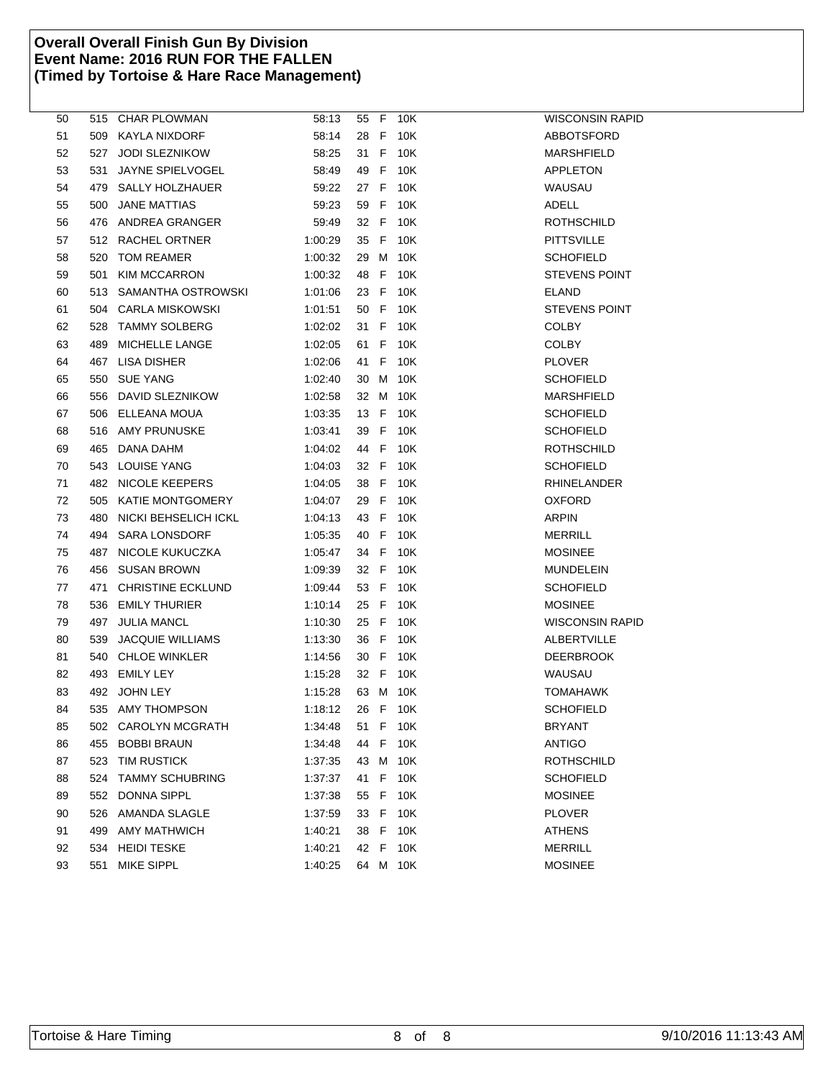| 50 |     | 515 CHAR PLOWMAN       | 58:13   |      |      | 55 F 10K | WISCONSIN RAPID      |
|----|-----|------------------------|---------|------|------|----------|----------------------|
| 51 |     | 509 KAYLA NIXDORF      | 58:14   |      |      | 28 F 10K | ABBOTSFORD           |
| 52 |     | 527 JODI SLEZNIKOW     | 58:25   |      |      | 31 F 10K | MARSHFIELD           |
| 53 | 531 | JAYNE SPIELVOGEL       | 58:49   | 49   | -F   | 10K      | APPLETON             |
| 54 |     | 479 SALLY HOLZHAUER    | 59:22   |      |      | 27 F 10K | WAUSAU               |
| 55 | 500 | JANE MATTIAS           | 59:23   |      |      | 59 F 10K | ADELL                |
| 56 |     | 476 ANDREA GRANGER     | 59:49   |      |      | 32 F 10K | ROTHSCHILD           |
| 57 |     | 512 RACHEL ORTNER      | 1:00:29 | 35 F |      | 10K      | PITTSVILLE           |
| 58 | 520 | TOM REAMER             | 1:00:32 |      | 29 M | 10K      | <b>SCHOFIELD</b>     |
| 59 | 501 | <b>KIM MCCARRON</b>    | 1:00:32 |      |      | 48 F 10K | <b>STEVENS POINT</b> |
| 60 |     | 513 SAMANTHA OSTROWSKI | 1:01:06 | 23 F |      | 10K      | ELAND                |
| 61 |     | 504 CARLA MISKOWSKI    | 1:01:51 | 50   | F.   | 10K      | <b>STEVENS POINT</b> |
| 62 | 528 | TAMMY SOLBERG          | 1:02:02 | 31 F |      | 10K      | <b>COLBY</b>         |
| 63 | 489 | MICHELLE LANGE         | 1:02:05 | 61 F |      | 10K      | <b>COLBY</b>         |
| 64 |     | 467 LISA DISHER        | 1:02:06 | 41 F |      | 10K      | <b>PLOVER</b>        |
| 65 | 550 | <b>SUE YANG</b>        | 1:02:40 | 30 M |      | 10K      | <b>SCHOFIELD</b>     |
| 66 |     | 556 DAVID SLEZNIKOW    | 1:02:58 | 32 M |      | 10K      | MARSHFIELD           |
| 67 |     | 506 ELLEANA MOUA       | 1:03:35 |      |      | 13 F 10K | <b>SCHOFIELD</b>     |
| 68 |     | 516 AMY PRUNUSKE       | 1:03:41 |      |      | 39 F 10K | <b>SCHOFIELD</b>     |
| 69 | 465 | DANA DAHM              | 1:04:02 | 44 F |      | 10K      | <b>ROTHSCHILD</b>    |
| 70 |     | 543 LOUISE YANG        | 1:04:03 | 32 F |      | 10K      | <b>SCHOFIELD</b>     |
| 71 |     | 482 NICOLE KEEPERS     | 1:04:05 | 38 F |      | 10K      | RHINELANDER          |
| 72 |     | 505 KATIE MONTGOMERY   | 1:04:07 | 29 F |      | 10K      | <b>OXFORD</b>        |
| 73 | 480 | NICKI BEHSELICH ICKL   | 1:04:13 | 43 F |      | 10K      | <b>ARPIN</b>         |
| 74 |     | 494 SARA LONSDORF      | 1:05:35 | 40 F |      | 10K      | MERRILL              |
| 75 |     | 487 NICOLE KUKUCZKA    | 1:05:47 | 34 F |      | 10K      | <b>MOSINEE</b>       |
| 76 |     | 456 SUSAN BROWN        | 1:09:39 | 32 F |      | 10K      | MUNDELEIN            |
| 77 | 471 | CHRISTINE ECKLUND      | 1:09:44 | 53 F |      | 10K      | <b>SCHOFIELD</b>     |
| 78 | 536 | EMILY THURIER          | 1:10:14 | 25 F |      | 10K      | <b>MOSINEE</b>       |
| 79 |     | 497 JULIA MANCL        | 1:10:30 | 25 F |      | 10K      | WISCONSIN RAPID      |
| 80 | 539 | JACQUIE WILLIAMS       | 1:13:30 |      |      | 36 F 10K | ALBERTVILLE          |
| 81 |     | 540 CHLOE WINKLER      | 1:14:56 | 30 F |      | 10K      | DEERBROOK            |
| 82 |     | 493 EMILY LEY          | 1:15:28 |      |      | 32 F 10K | WAUSAU               |
| 83 |     | 492 JOHN LEY           | 1:15:28 |      |      | 63 M 10K | TOMAHAWK             |
| 84 |     | 535 AMY THOMPSON       | 1:18:12 |      |      | 26 F 10K | <b>SCHOFIELD</b>     |
| 85 | 502 | <b>CAROLYN MCGRATH</b> | 1:34:48 |      |      | 51 F 10K | <b>BRYANT</b>        |
| 86 | 455 | <b>BOBBI BRAUN</b>     | 1:34:48 | 44   | - F  | 10K      | <b>ANTIGO</b>        |
| 87 | 523 | <b>TIM RUSTICK</b>     | 1:37:35 |      | 43 M | 10K      | <b>ROTHSCHILD</b>    |
| 88 | 524 | <b>TAMMY SCHUBRING</b> | 1:37:37 | 41   | - F  | 10K      | <b>SCHOFIELD</b>     |
| 89 | 552 | <b>DONNA SIPPL</b>     | 1.37.38 | 55 F |      | 10K      | <b>MOSINEE</b>       |
| 90 | 526 | AMANDA SLAGLE          | 1:37:59 | 33 F |      | 10K      | <b>PLOVER</b>        |
| 91 | 499 | AMY MATHWICH           | 1:40:21 | 38 F |      | 10K      | <b>ATHENS</b>        |
| 92 | 534 | <b>HEIDI TESKE</b>     | 1:40:21 |      |      | 42 F 10K | <b>MERRILL</b>       |
| 93 | 551 | <b>MIKE SIPPL</b>      | 1:40:25 |      |      | 64 M 10K | <b>MOSINEE</b>       |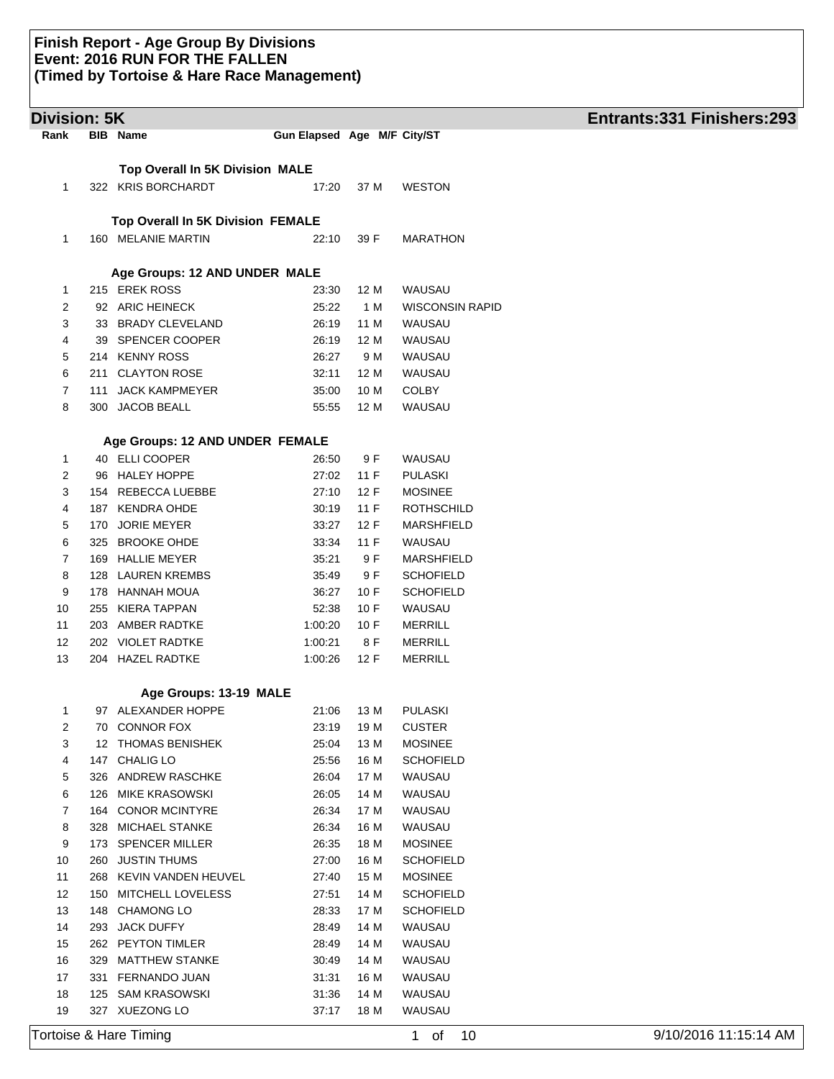| <b>Division: 5K</b> |            |                                                |                             |              |                                  | Entrants: 331 Finishers: 293 |
|---------------------|------------|------------------------------------------------|-----------------------------|--------------|----------------------------------|------------------------------|
| Rank                |            | <b>BIB</b> Name                                | Gun Elapsed Age M/F City/ST |              |                                  |                              |
|                     |            | <b>Top Overall In 5K Division MALE</b>         |                             |              |                                  |                              |
| 1                   |            | 322 KRIS BORCHARDT                             | 17:20                       | 37 M         | <b>WESTON</b>                    |                              |
|                     |            |                                                |                             |              |                                  |                              |
|                     |            | Top Overall In 5K Division FEMALE              |                             |              |                                  |                              |
| $\mathbf{1}$        |            | 160 MELANIE MARTIN                             | 22:10                       | 39 F         | <b>MARATHON</b>                  |                              |
|                     |            |                                                |                             |              |                                  |                              |
|                     |            | Age Groups: 12 AND UNDER MALE                  |                             |              |                                  |                              |
| $\mathbf{1}$        |            | 215 EREK ROSS                                  | 23:30                       | 12 M         | WAUSAU                           |                              |
| 2                   |            | 92 ARIC HEINECK                                | 25:22                       | 1 M          | <b>WISCONSIN RAPID</b>           |                              |
| 3                   |            | 33 BRADY CLEVELAND                             | 26:19                       | 11 M         | WAUSAU                           |                              |
| 4                   |            | 39 SPENCER COOPER                              | 26:19                       | 12 M         | WAUSAU                           |                              |
| 5                   |            | 214 KENNY ROSS                                 | 26:27                       | 9 M          | WAUSAU                           |                              |
| 6                   |            | 211 CLAYTON ROSE                               | 32:11                       | 12 M         | WAUSAU                           |                              |
| $\overline{7}$      |            | 111 JACK KAMPMEYER                             | 35:00                       | 10 M         | <b>COLBY</b>                     |                              |
| 8                   |            | 300 JACOB BEALL                                | 55:55                       | 12 M         | WAUSAU                           |                              |
|                     |            | Age Groups: 12 AND UNDER FEMALE                |                             |              |                                  |                              |
| 1                   |            | 40 ELLI COOPER                                 | 26:50                       | 9 F          | WAUSAU                           |                              |
| 2                   |            | 96 HALEY HOPPE                                 | 27:02                       | 11 F         | <b>PULASKI</b>                   |                              |
| 3                   |            | 154 REBECCA LUEBBE                             | 27:10                       | 12 F         | <b>MOSINEE</b>                   |                              |
| 4                   |            | 187 KENDRA OHDE                                | 30:19                       | 11 F         | <b>ROTHSCHILD</b>                |                              |
| 5                   |            | 170 JORIE MEYER                                | 33:27                       | 12 F         | <b>MARSHFIELD</b>                |                              |
| 6                   |            | 325 BROOKE OHDE                                | 33:34                       | 11F          | WAUSAU                           |                              |
| 7                   |            | 169 HALLIE MEYER                               | 35:21                       | 9 F          | MARSHFIELD                       |                              |
| 8                   |            | 128 LAUREN KREMBS                              | 35:49                       | 9 F          | <b>SCHOFIELD</b>                 |                              |
| 9                   |            | 178 HANNAH MOUA                                | 36:27                       | 10 F         | <b>SCHOFIELD</b>                 |                              |
| 10                  |            | 255 KIERA TAPPAN                               | 52:38                       | 10 F         | WAUSAU                           |                              |
| 11                  |            | 203 AMBER RADTKE                               | 1:00:20                     | 10 F         | <b>MERRILL</b>                   |                              |
| 12<br>13            |            | 202 VIOLET RADTKE<br>204 HAZEL RADTKE          | 1:00:21<br>1:00:26          | 8 F<br>12 F  | <b>MERRILL</b><br><b>MERRILL</b> |                              |
|                     |            |                                                |                             |              |                                  |                              |
|                     |            | Age Groups: 13-19 MALE                         |                             |              |                                  |                              |
| 1                   |            | 97 ALEXANDER HOPPE                             | 21:06                       | 13 M         | <b>PULASKI</b>                   |                              |
| 2                   | 70         | <b>CONNOR FOX</b>                              | 23:19                       | 19 M         | <b>CUSTER</b>                    |                              |
| 3                   |            | 12 THOMAS BENISHEK                             | 25:04                       | 13 M         | <b>MOSINEE</b>                   |                              |
| 4                   | 147        | <b>CHALIG LO</b>                               | 25:56                       | 16 M         | <b>SCHOFIELD</b>                 |                              |
| 5                   | 326        | ANDREW RASCHKE                                 | 26:04                       | 17 M         | WAUSAU                           |                              |
| 6                   | 126        | <b>MIKE KRASOWSKI</b>                          | 26:05                       | 14 M         | WAUSAU                           |                              |
| 7<br>8              | 164<br>328 | <b>CONOR MCINTYRE</b><br><b>MICHAEL STANKE</b> | 26:34                       | 17 M         | WAUSAU<br>WAUSAU                 |                              |
| 9                   | 173        | <b>SPENCER MILLER</b>                          | 26:34<br>26:35              | 16 M<br>18 M | <b>MOSINEE</b>                   |                              |
| 10                  | 260        | <b>JUSTIN THUMS</b>                            | 27:00                       | 16 M         | <b>SCHOFIELD</b>                 |                              |
| 11                  | 268        | <b>KEVIN VANDEN HEUVEL</b>                     | 27:40                       | 15 M         | <b>MOSINEE</b>                   |                              |
| 12                  | 150        | MITCHELL LOVELESS                              | 27:51                       | 14 M         | <b>SCHOFIELD</b>                 |                              |
| 13                  | 148        | <b>CHAMONG LO</b>                              | 28:33                       | 17 M         | <b>SCHOFIELD</b>                 |                              |
| 14                  | 293        | <b>JACK DUFFY</b>                              | 28:49                       | 14 M         | WAUSAU                           |                              |
| 15                  |            | 262 PEYTON TIMLER                              | 28:49                       | 14 M         | WAUSAU                           |                              |
| 16                  | 329        | <b>MATTHEW STANKE</b>                          | 30:49                       | 14 M         | WAUSAU                           |                              |
| 17                  | 331        | FERNANDO JUAN                                  | 31:31                       | 16 M         | WAUSAU                           |                              |
| 18                  | 125        | SAM KRASOWSKI                                  | 31:36                       | 14 M         | WAUSAU                           |                              |
| 19                  |            | 327 XUEZONG LO                                 | 37:17                       | 18 M         | WAUSAU                           |                              |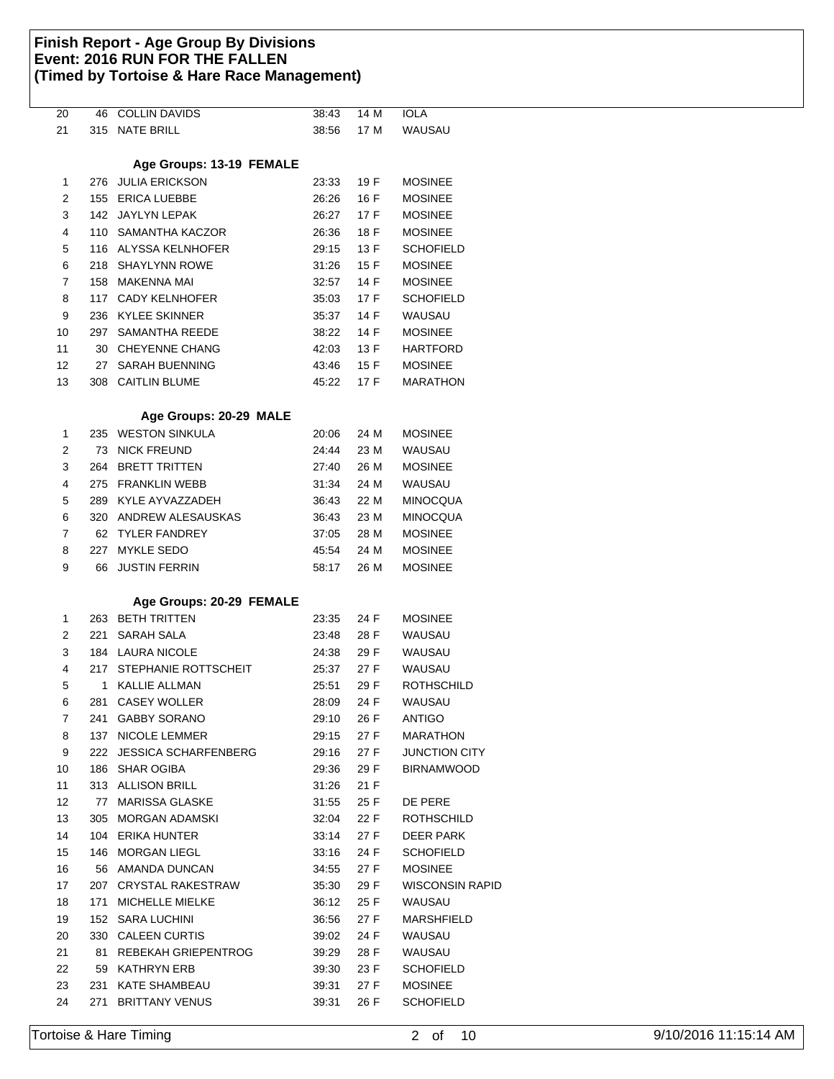| $\overline{20}$ | 46  | <b>COLLIN DAVIDS</b>        | 38:43 | 14 M | <b>IOLA</b>            |
|-----------------|-----|-----------------------------|-------|------|------------------------|
| 21              | 315 | NATE BRILL                  | 38:56 | 17 M | WAUSAU                 |
|                 |     |                             |       |      |                        |
|                 |     | Age Groups: 13-19 FEMALE    |       |      |                        |
| 1               | 276 | JULIA ERICKSON              | 23:33 | 19 F | <b>MOSINEE</b>         |
| 2               | 155 | <b>ERICA LUEBBE</b>         | 26:26 | 16 F | <b>MOSINEE</b>         |
| 3               |     | 142 JAYLYN LEPAK            | 26:27 | 17 F | <b>MOSINEE</b>         |
| 4               |     | 110 SAMANTHA KACZOR         | 26:36 | 18 F | <b>MOSINEE</b>         |
|                 |     |                             |       |      | <b>SCHOFIELD</b>       |
| 5               |     | 116 ALYSSA KELNHOFER        | 29:15 | 13 F |                        |
| 6               |     | 218 SHAYLYNN ROWE           | 31:26 | 15 F | <b>MOSINEE</b>         |
| 7               |     | 158 MAKENNA MAI             | 32:57 | 14 F | <b>MOSINEE</b>         |
| 8               |     | 117 CADY KELNHOFER          | 35:03 | 17 F | <b>SCHOFIELD</b>       |
| 9               |     | 236 KYLEE SKINNER           | 35:37 | 14 F | WAUSAU                 |
| 10              |     | 297 SAMANTHA REEDE          | 38:22 | 14 F | <b>MOSINEE</b>         |
| 11              |     | 30 CHEYENNE CHANG           | 42:03 | 13 F | <b>HARTFORD</b>        |
| 12              | 27  | SARAH BUENNING              | 43:46 | 15 F | <b>MOSINEE</b>         |
| 13              |     | 308 CAITLIN BLUME           | 45:22 | 17 F | <b>MARATHON</b>        |
|                 |     |                             |       |      |                        |
|                 |     | Age Groups: 20-29 MALE      |       |      |                        |
| 1               | 235 | <b>WESTON SINKULA</b>       | 20:06 | 24 M | <b>MOSINEE</b>         |
| 2               | 73  | <b>NICK FREUND</b>          | 24:44 | 23 M | WAUSAU                 |
| 3               | 264 | <b>BRETT TRITTEN</b>        | 27:40 | 26 M | <b>MOSINEE</b>         |
| 4               | 275 | <b>FRANKLIN WEBB</b>        |       | 24 M | WAUSAU                 |
|                 |     |                             | 31:34 |      |                        |
| 5               |     | 289 KYLE AYVAZZADEH         | 36:43 | 22 M | <b>MINOCQUA</b>        |
| 6               | 320 | ANDREW ALESAUSKAS           | 36:43 | 23 M | <b>MINOCQUA</b>        |
| 7               | 62  | TYLER FANDREY               | 37:05 | 28 M | <b>MOSINEE</b>         |
| 8               | 227 | MYKLE SEDO                  | 45:54 | 24 M | <b>MOSINEE</b>         |
| 9               | 66  | <b>JUSTIN FERRIN</b>        | 58:17 | 26 M | <b>MOSINEE</b>         |
|                 |     |                             |       |      |                        |
|                 |     | Age Groups: 20-29 FEMALE    |       |      |                        |
| 1               | 263 | BETH TRITTEN                | 23:35 | 24 F | <b>MOSINEE</b>         |
| 2               | 221 | SARAH SALA                  | 23:48 | 28 F | WAUSAU                 |
| 3               |     | 184 LAURA NICOLE            | 24:38 | 29 F | WAUSAU                 |
| 4               |     | 217 STEPHANIE ROTTSCHEIT    | 25:37 | 27 F | WAUSAU                 |
| 5               | 1   | <b>KALLIE ALLMAN</b>        | 25:51 | 29 F | <b>ROTHSCHILD</b>      |
| 6               | 281 | <b>CASEY WOLLER</b>         | 28:09 | 24 F | WAUSAU                 |
| 7               | 241 | <b>GABBY SORANO</b>         | 29:10 | 26 F | ANTIGO                 |
| 8               | 137 | <b>NICOLE LEMMER</b>        | 29:15 | 27 F | MARATHON               |
| 9               | 222 | <b>JESSICA SCHARFENBERG</b> | 29:16 | 27 F | <b>JUNCTION CITY</b>   |
| 10              | 186 | <b>SHAR OGIBA</b>           | 29:36 | 29 F | <b>BIRNAMWOOD</b>      |
|                 |     | 313 ALLISON BRILL           |       |      |                        |
| 11              |     |                             | 31:26 | 21 F |                        |
| 12              | 77  | <b>MARISSA GLASKE</b>       | 31:55 | 25 F | DE PERE                |
| 13              | 305 | MORGAN ADAMSKI              | 32:04 | 22 F | ROTHSCHILD             |
| 14              |     | 104 ERIKA HUNTER            | 33:14 | 27 F | DEER PARK              |
| 15              | 146 | MORGAN LIEGL                | 33:16 | 24 F | <b>SCHOFIELD</b>       |
| 16              | 56  | AMANDA DUNCAN               | 34:55 | 27 F | <b>MOSINEE</b>         |
| 17              | 207 | CRYSTAL RAKESTRAW           | 35:30 | 29 F | <b>WISCONSIN RAPID</b> |
| 18              | 171 | MICHELLE MIELKE             | 36:12 | 25 F | WAUSAU                 |
| 19              |     | 152 SARA LUCHINI            | 36:56 | 27 F | MARSHFIELD             |
| 20              |     | 330 CALEEN CURTIS           | 39:02 | 24 F | WAUSAU                 |
| 21              | 81  | REBEKAH GRIEPENTROG         | 39.29 | 28 F | WAUSAU                 |
| 22              | 59  | KATHRYN ERB                 | 39:30 | 23 F | <b>SCHOFIELD</b>       |
| 23              | 231 | KATE SHAMBEAU               | 39:31 | 27 F | <b>MOSINEE</b>         |
| 24              | 271 | <b>BRITTANY VENUS</b>       | 39:31 | 26 F | <b>SCHOFIELD</b>       |
|                 |     |                             |       |      |                        |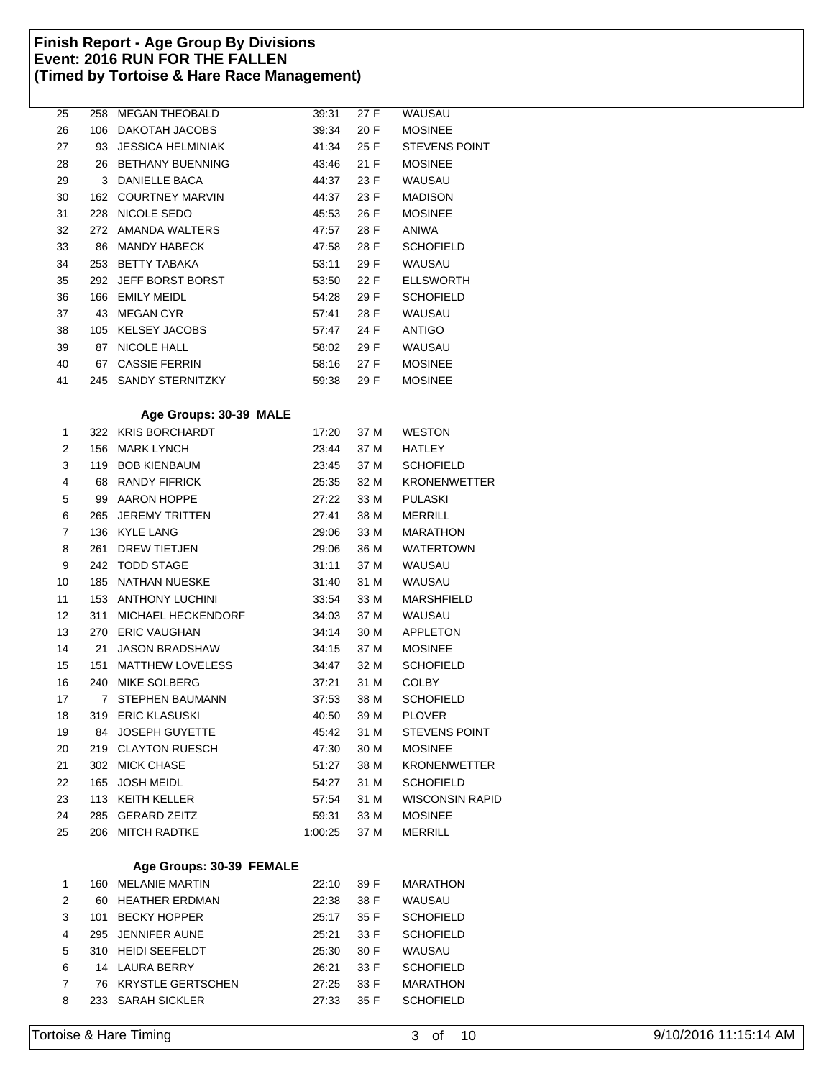| 25 |             | 258 MEGAN THEOBALD       | 39:31   | 27 F | <b>WAUSAU</b>          |
|----|-------------|--------------------------|---------|------|------------------------|
| 26 | 106         | DAKOTAH JACOBS           | 39:34   | 20 F | <b>MOSINEE</b>         |
| 27 | 93          | <b>JESSICA HELMINIAK</b> | 41:34   | 25 F | <b>STEVENS POINT</b>   |
| 28 |             | 26 BETHANY BUENNING      | 43:46   | 21 F | <b>MOSINEE</b>         |
| 29 |             | 3 DANIELLE BACA          | 44:37   | 23 F | WAUSAU                 |
| 30 |             | 162 COURTNEY MARVIN      | 44:37   | 23 F | <b>MADISON</b>         |
| 31 |             | 228 NICOLE SEDO          | 45:53   | 26 F | <b>MOSINEE</b>         |
| 32 |             | 272 AMANDA WALTERS       | 47:57   | 28 F | <b>ANIWA</b>           |
| 33 | 86          | <b>MANDY HABECK</b>      | 47:58   | 28 F | <b>SCHOFIELD</b>       |
| 34 | 253         | <b>BETTY TABAKA</b>      | 53:11   | 29 F | WAUSAU                 |
| 35 | 292         | JEFF BORST BORST         | 53:50   | 22 F | <b>ELLSWORTH</b>       |
| 36 | 166         | <b>EMILY MEIDL</b>       | 54:28   | 29 F | <b>SCHOFIELD</b>       |
| 37 | 43          | MEGAN CYR                | 57:41   | 28 F | WAUSAU                 |
| 38 |             | 105 KELSEY JACOBS        | 57:47   | 24 F | <b>ANTIGO</b>          |
| 39 |             | 87 NICOLE HALL           | 58:02   | 29 F | WAUSAU                 |
| 40 |             | 67 CASSIE FERRIN         | 58:16   | 27 F | <b>MOSINEE</b>         |
| 41 |             | 245 SANDY STERNITZKY     | 59:38   | 29 F | <b>MOSINEE</b>         |
|    |             | Age Groups: 30-39 MALE   |         |      |                        |
| 1  |             | 322 KRIS BORCHARDT       | 17:20   | 37 M | <b>WESTON</b>          |
| 2  |             | 156 MARK LYNCH           | 23:44   | 37 M | HATLEY                 |
| 3  |             | 119 BOB KIENBAUM         | 23:45   | 37 M | <b>SCHOFIELD</b>       |
| 4  |             | 68 RANDY FIFRICK         | 25:35   | 32 M | <b>KRONENWETTER</b>    |
| 5  |             | 99 AARON HOPPE           | 27:22   | 33 M | <b>PULASKI</b>         |
| 6  | 265         | <b>JEREMY TRITTEN</b>    | 27:41   | 38 M | <b>MERRILL</b>         |
| 7  |             | 136 KYLE LANG            | 29:06   | 33 M | <b>MARATHON</b>        |
| 8  | 261         | DREW TIETJEN             | 29:06   | 36 M | <b>WATERTOWN</b>       |
| 9  | 242         | <b>TODD STAGE</b>        | 31:11   | 37 M | WAUSAU                 |
| 10 | 185         | NATHAN NUESKE            | 31:40   | 31 M | WAUSAU                 |
| 11 | 153         | ANTHONY LUCHINI          | 33:54   | 33 M | <b>MARSHFIELD</b>      |
| 12 | 311         | MICHAEL HECKENDORF       | 34:03   | 37 M | WAUSAU                 |
| 13 | 270         | <b>ERIC VAUGHAN</b>      | 34:14   | 30 M | <b>APPLETON</b>        |
| 14 | 21          | <b>JASON BRADSHAW</b>    | 34:15   | 37 M | <b>MOSINEE</b>         |
| 15 | 151         | <b>MATTHEW LOVELESS</b>  | 34:47   | 32 M | <b>SCHOFIELD</b>       |
| 16 |             | 240 MIKE SOLBERG         | 37:21   | 31 M | <b>COLBY</b>           |
| 17 | $7^{\circ}$ | <b>STEPHEN BAUMANN</b>   | 37:53   | 38 M | <b>SCHOFIELD</b>       |
| 18 |             | 319 ERIC KLASUSKI        | 40:50   | 39 M | <b>PLOVER</b>          |
| 19 |             | 84 JOSEPH GUYETTE        | 45:42   | 31 M | <b>STEVENS POINT</b>   |
| 20 |             | 219 CLAYTON RUESCH       | 47:30   | 30 M | <b>MOSINEE</b>         |
| 21 |             | 302 MICK CHASE           | 51:27   | 38 M | <b>KRONENWETTER</b>    |
| 22 |             | 165 JOSH MEIDL           | 54:27   | 31 M | SCHOFIELD              |
| 23 |             | 113 KEITH KELLER         | 57:54   | 31 M | <b>WISCONSIN RAPID</b> |
| 24 |             | 285 GERARD ZEITZ         | 59:31   | 33 M | <b>MOSINEE</b>         |
| 25 |             | 206 MITCH RADTKE         | 1:00:25 | 37 M | <b>MERRILL</b>         |
|    |             | Age Groups: 30-39 FEMALE |         |      |                        |
| 1  |             | 160 MELANIE MARTIN       | 22:10   | 39 F | <b>MARATHON</b>        |
| 2  | 60          | <b>HEATHER ERDMAN</b>    | 22:38   | 38 F | <b>WAUSAU</b>          |
| 3  | 101         | <b>BECKY HOPPER</b>      | 25:17   | 35 F | <b>SCHOFIELD</b>       |
| 4  | 295         | <b>JENNIFER AUNE</b>     | 25:21   | 33 F | <b>SCHOFIELD</b>       |
| 5  |             | 310 HEIDI SEEFELDT       | 25:30   | 30 F | <b>WAUSAU</b>          |
| 6  |             | 14 LAURA BERRY           | 26:21   | 33 F | <b>SCHOFIELD</b>       |
| 7  |             | 76 KRYSTLE GERTSCHEN     | 27:25   | 33 F | <b>MARATHON</b>        |
| 8  |             | 233 SARAH SICKLER        | 27:33   | 35 F | <b>SCHOFIELD</b>       |
|    |             |                          |         |      |                        |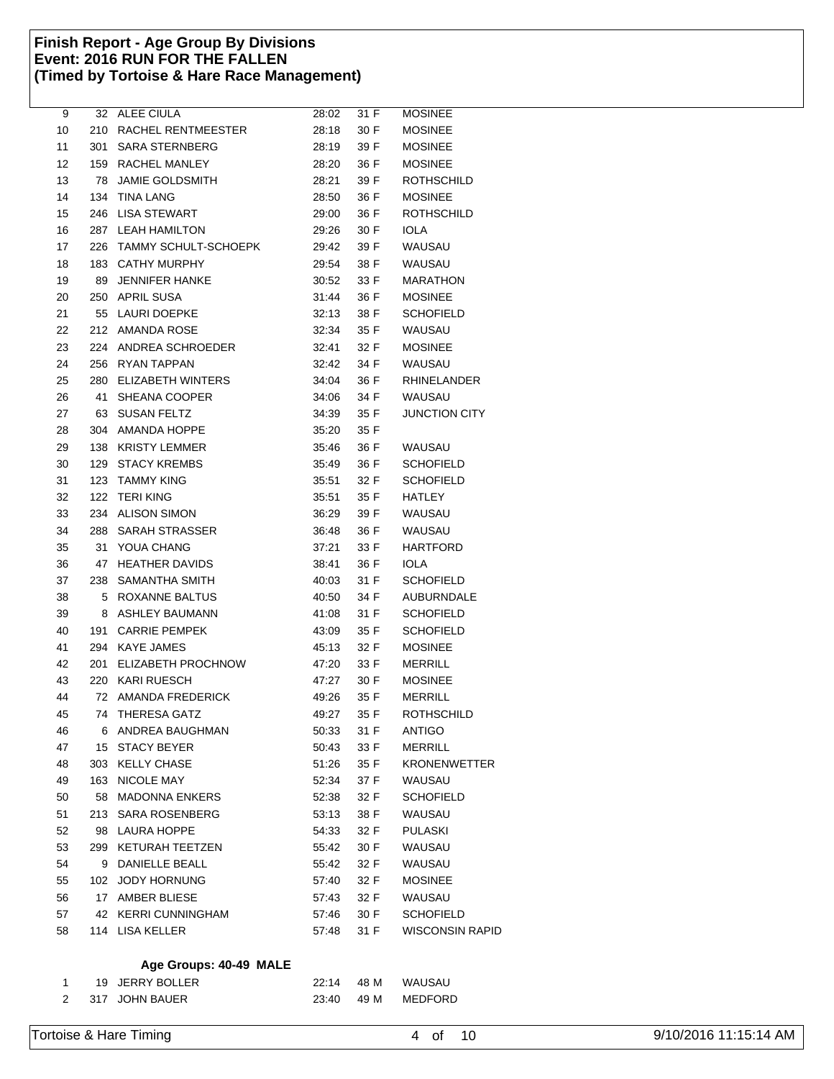|     |                 | 28:02                                                                                                                                                                                                                                                                                                                                                                                                                                                                                                                                                                                                                                                                                                                                                                                                                                                                                                                                                                                                                                    | 31 F                                                                                                                                                                             | <b>MOSINEE</b>                                                                                                                                                                                                                                                                                                                                                                                                                                                                      |
|-----|-----------------|------------------------------------------------------------------------------------------------------------------------------------------------------------------------------------------------------------------------------------------------------------------------------------------------------------------------------------------------------------------------------------------------------------------------------------------------------------------------------------------------------------------------------------------------------------------------------------------------------------------------------------------------------------------------------------------------------------------------------------------------------------------------------------------------------------------------------------------------------------------------------------------------------------------------------------------------------------------------------------------------------------------------------------------|----------------------------------------------------------------------------------------------------------------------------------------------------------------------------------|-------------------------------------------------------------------------------------------------------------------------------------------------------------------------------------------------------------------------------------------------------------------------------------------------------------------------------------------------------------------------------------------------------------------------------------------------------------------------------------|
|     |                 | 28:18                                                                                                                                                                                                                                                                                                                                                                                                                                                                                                                                                                                                                                                                                                                                                                                                                                                                                                                                                                                                                                    | 30 F                                                                                                                                                                             | <b>MOSINEE</b>                                                                                                                                                                                                                                                                                                                                                                                                                                                                      |
|     |                 | 28:19                                                                                                                                                                                                                                                                                                                                                                                                                                                                                                                                                                                                                                                                                                                                                                                                                                                                                                                                                                                                                                    | 39 F                                                                                                                                                                             | <b>MOSINEE</b>                                                                                                                                                                                                                                                                                                                                                                                                                                                                      |
|     |                 | 28:20                                                                                                                                                                                                                                                                                                                                                                                                                                                                                                                                                                                                                                                                                                                                                                                                                                                                                                                                                                                                                                    | 36 F                                                                                                                                                                             | <b>MOSINEE</b>                                                                                                                                                                                                                                                                                                                                                                                                                                                                      |
| 78  | JAMIE GOLDSMITH | 28:21                                                                                                                                                                                                                                                                                                                                                                                                                                                                                                                                                                                                                                                                                                                                                                                                                                                                                                                                                                                                                                    | 39 F                                                                                                                                                                             | <b>ROTHSCHILD</b>                                                                                                                                                                                                                                                                                                                                                                                                                                                                   |
| 134 | TINA LANG       | 28:50                                                                                                                                                                                                                                                                                                                                                                                                                                                                                                                                                                                                                                                                                                                                                                                                                                                                                                                                                                                                                                    | 36 F                                                                                                                                                                             | <b>MOSINEE</b>                                                                                                                                                                                                                                                                                                                                                                                                                                                                      |
|     |                 | 29:00                                                                                                                                                                                                                                                                                                                                                                                                                                                                                                                                                                                                                                                                                                                                                                                                                                                                                                                                                                                                                                    | 36 F                                                                                                                                                                             | <b>ROTHSCHILD</b>                                                                                                                                                                                                                                                                                                                                                                                                                                                                   |
|     |                 | 29:26                                                                                                                                                                                                                                                                                                                                                                                                                                                                                                                                                                                                                                                                                                                                                                                                                                                                                                                                                                                                                                    | 30 F                                                                                                                                                                             | <b>IOLA</b>                                                                                                                                                                                                                                                                                                                                                                                                                                                                         |
|     |                 | 29:42                                                                                                                                                                                                                                                                                                                                                                                                                                                                                                                                                                                                                                                                                                                                                                                                                                                                                                                                                                                                                                    | 39 F                                                                                                                                                                             | WAUSAU                                                                                                                                                                                                                                                                                                                                                                                                                                                                              |
|     |                 | 29:54                                                                                                                                                                                                                                                                                                                                                                                                                                                                                                                                                                                                                                                                                                                                                                                                                                                                                                                                                                                                                                    | 38 F                                                                                                                                                                             | WAUSAU                                                                                                                                                                                                                                                                                                                                                                                                                                                                              |
| 89  | JENNIFER HANKE  | 30:52                                                                                                                                                                                                                                                                                                                                                                                                                                                                                                                                                                                                                                                                                                                                                                                                                                                                                                                                                                                                                                    | 33 F                                                                                                                                                                             | <b>MARATHON</b>                                                                                                                                                                                                                                                                                                                                                                                                                                                                     |
|     |                 |                                                                                                                                                                                                                                                                                                                                                                                                                                                                                                                                                                                                                                                                                                                                                                                                                                                                                                                                                                                                                                          | 36 F                                                                                                                                                                             | <b>MOSINEE</b>                                                                                                                                                                                                                                                                                                                                                                                                                                                                      |
|     |                 |                                                                                                                                                                                                                                                                                                                                                                                                                                                                                                                                                                                                                                                                                                                                                                                                                                                                                                                                                                                                                                          | 38 F                                                                                                                                                                             | <b>SCHOFIELD</b>                                                                                                                                                                                                                                                                                                                                                                                                                                                                    |
|     |                 |                                                                                                                                                                                                                                                                                                                                                                                                                                                                                                                                                                                                                                                                                                                                                                                                                                                                                                                                                                                                                                          | 35 F                                                                                                                                                                             | WAUSAU                                                                                                                                                                                                                                                                                                                                                                                                                                                                              |
|     |                 |                                                                                                                                                                                                                                                                                                                                                                                                                                                                                                                                                                                                                                                                                                                                                                                                                                                                                                                                                                                                                                          | 32 F                                                                                                                                                                             | <b>MOSINEE</b>                                                                                                                                                                                                                                                                                                                                                                                                                                                                      |
|     |                 |                                                                                                                                                                                                                                                                                                                                                                                                                                                                                                                                                                                                                                                                                                                                                                                                                                                                                                                                                                                                                                          | 34 F                                                                                                                                                                             | WAUSAU                                                                                                                                                                                                                                                                                                                                                                                                                                                                              |
|     |                 |                                                                                                                                                                                                                                                                                                                                                                                                                                                                                                                                                                                                                                                                                                                                                                                                                                                                                                                                                                                                                                          | 36 F                                                                                                                                                                             | <b>RHINELANDER</b>                                                                                                                                                                                                                                                                                                                                                                                                                                                                  |
| 41  | SHEANA COOPER   |                                                                                                                                                                                                                                                                                                                                                                                                                                                                                                                                                                                                                                                                                                                                                                                                                                                                                                                                                                                                                                          | 34 F                                                                                                                                                                             | WAUSAU                                                                                                                                                                                                                                                                                                                                                                                                                                                                              |
| 63  | SUSAN FELTZ     |                                                                                                                                                                                                                                                                                                                                                                                                                                                                                                                                                                                                                                                                                                                                                                                                                                                                                                                                                                                                                                          |                                                                                                                                                                                  | <b>JUNCTION CITY</b>                                                                                                                                                                                                                                                                                                                                                                                                                                                                |
|     |                 |                                                                                                                                                                                                                                                                                                                                                                                                                                                                                                                                                                                                                                                                                                                                                                                                                                                                                                                                                                                                                                          |                                                                                                                                                                                  |                                                                                                                                                                                                                                                                                                                                                                                                                                                                                     |
|     |                 |                                                                                                                                                                                                                                                                                                                                                                                                                                                                                                                                                                                                                                                                                                                                                                                                                                                                                                                                                                                                                                          |                                                                                                                                                                                  | WAUSAU                                                                                                                                                                                                                                                                                                                                                                                                                                                                              |
|     |                 |                                                                                                                                                                                                                                                                                                                                                                                                                                                                                                                                                                                                                                                                                                                                                                                                                                                                                                                                                                                                                                          |                                                                                                                                                                                  | <b>SCHOFIELD</b>                                                                                                                                                                                                                                                                                                                                                                                                                                                                    |
|     |                 |                                                                                                                                                                                                                                                                                                                                                                                                                                                                                                                                                                                                                                                                                                                                                                                                                                                                                                                                                                                                                                          |                                                                                                                                                                                  | <b>SCHOFIELD</b>                                                                                                                                                                                                                                                                                                                                                                                                                                                                    |
|     |                 |                                                                                                                                                                                                                                                                                                                                                                                                                                                                                                                                                                                                                                                                                                                                                                                                                                                                                                                                                                                                                                          |                                                                                                                                                                                  | HATLEY                                                                                                                                                                                                                                                                                                                                                                                                                                                                              |
|     |                 |                                                                                                                                                                                                                                                                                                                                                                                                                                                                                                                                                                                                                                                                                                                                                                                                                                                                                                                                                                                                                                          |                                                                                                                                                                                  | WAUSAU                                                                                                                                                                                                                                                                                                                                                                                                                                                                              |
|     |                 |                                                                                                                                                                                                                                                                                                                                                                                                                                                                                                                                                                                                                                                                                                                                                                                                                                                                                                                                                                                                                                          |                                                                                                                                                                                  | WAUSAU                                                                                                                                                                                                                                                                                                                                                                                                                                                                              |
|     |                 |                                                                                                                                                                                                                                                                                                                                                                                                                                                                                                                                                                                                                                                                                                                                                                                                                                                                                                                                                                                                                                          |                                                                                                                                                                                  | HARTFORD                                                                                                                                                                                                                                                                                                                                                                                                                                                                            |
|     |                 |                                                                                                                                                                                                                                                                                                                                                                                                                                                                                                                                                                                                                                                                                                                                                                                                                                                                                                                                                                                                                                          |                                                                                                                                                                                  | IOLA                                                                                                                                                                                                                                                                                                                                                                                                                                                                                |
|     |                 |                                                                                                                                                                                                                                                                                                                                                                                                                                                                                                                                                                                                                                                                                                                                                                                                                                                                                                                                                                                                                                          |                                                                                                                                                                                  | <b>SCHOFIELD</b>                                                                                                                                                                                                                                                                                                                                                                                                                                                                    |
|     |                 |                                                                                                                                                                                                                                                                                                                                                                                                                                                                                                                                                                                                                                                                                                                                                                                                                                                                                                                                                                                                                                          |                                                                                                                                                                                  | AUBURNDALE                                                                                                                                                                                                                                                                                                                                                                                                                                                                          |
|     |                 |                                                                                                                                                                                                                                                                                                                                                                                                                                                                                                                                                                                                                                                                                                                                                                                                                                                                                                                                                                                                                                          |                                                                                                                                                                                  | <b>SCHOFIELD</b>                                                                                                                                                                                                                                                                                                                                                                                                                                                                    |
|     |                 |                                                                                                                                                                                                                                                                                                                                                                                                                                                                                                                                                                                                                                                                                                                                                                                                                                                                                                                                                                                                                                          |                                                                                                                                                                                  | <b>SCHOFIELD</b>                                                                                                                                                                                                                                                                                                                                                                                                                                                                    |
|     |                 |                                                                                                                                                                                                                                                                                                                                                                                                                                                                                                                                                                                                                                                                                                                                                                                                                                                                                                                                                                                                                                          |                                                                                                                                                                                  | <b>MOSINEE</b>                                                                                                                                                                                                                                                                                                                                                                                                                                                                      |
|     |                 |                                                                                                                                                                                                                                                                                                                                                                                                                                                                                                                                                                                                                                                                                                                                                                                                                                                                                                                                                                                                                                          |                                                                                                                                                                                  | MERRILL                                                                                                                                                                                                                                                                                                                                                                                                                                                                             |
|     |                 |                                                                                                                                                                                                                                                                                                                                                                                                                                                                                                                                                                                                                                                                                                                                                                                                                                                                                                                                                                                                                                          |                                                                                                                                                                                  | <b>MOSINEE</b>                                                                                                                                                                                                                                                                                                                                                                                                                                                                      |
|     |                 |                                                                                                                                                                                                                                                                                                                                                                                                                                                                                                                                                                                                                                                                                                                                                                                                                                                                                                                                                                                                                                          |                                                                                                                                                                                  | <b>MERRILL</b>                                                                                                                                                                                                                                                                                                                                                                                                                                                                      |
|     |                 |                                                                                                                                                                                                                                                                                                                                                                                                                                                                                                                                                                                                                                                                                                                                                                                                                                                                                                                                                                                                                                          |                                                                                                                                                                                  | <b>ROTHSCHILD</b>                                                                                                                                                                                                                                                                                                                                                                                                                                                                   |
|     |                 |                                                                                                                                                                                                                                                                                                                                                                                                                                                                                                                                                                                                                                                                                                                                                                                                                                                                                                                                                                                                                                          |                                                                                                                                                                                  | <b>ANTIGO</b>                                                                                                                                                                                                                                                                                                                                                                                                                                                                       |
|     |                 |                                                                                                                                                                                                                                                                                                                                                                                                                                                                                                                                                                                                                                                                                                                                                                                                                                                                                                                                                                                                                                          |                                                                                                                                                                                  | <b>MERRILL</b>                                                                                                                                                                                                                                                                                                                                                                                                                                                                      |
|     |                 |                                                                                                                                                                                                                                                                                                                                                                                                                                                                                                                                                                                                                                                                                                                                                                                                                                                                                                                                                                                                                                          |                                                                                                                                                                                  | <b>KRONENWETTER</b>                                                                                                                                                                                                                                                                                                                                                                                                                                                                 |
|     |                 |                                                                                                                                                                                                                                                                                                                                                                                                                                                                                                                                                                                                                                                                                                                                                                                                                                                                                                                                                                                                                                          |                                                                                                                                                                                  | WAUSAU                                                                                                                                                                                                                                                                                                                                                                                                                                                                              |
|     |                 |                                                                                                                                                                                                                                                                                                                                                                                                                                                                                                                                                                                                                                                                                                                                                                                                                                                                                                                                                                                                                                          |                                                                                                                                                                                  | <b>SCHOFIELD</b>                                                                                                                                                                                                                                                                                                                                                                                                                                                                    |
|     |                 |                                                                                                                                                                                                                                                                                                                                                                                                                                                                                                                                                                                                                                                                                                                                                                                                                                                                                                                                                                                                                                          |                                                                                                                                                                                  | WAUSAU                                                                                                                                                                                                                                                                                                                                                                                                                                                                              |
|     |                 |                                                                                                                                                                                                                                                                                                                                                                                                                                                                                                                                                                                                                                                                                                                                                                                                                                                                                                                                                                                                                                          |                                                                                                                                                                                  | <b>PULASKI</b>                                                                                                                                                                                                                                                                                                                                                                                                                                                                      |
|     |                 |                                                                                                                                                                                                                                                                                                                                                                                                                                                                                                                                                                                                                                                                                                                                                                                                                                                                                                                                                                                                                                          |                                                                                                                                                                                  | WAUSAU                                                                                                                                                                                                                                                                                                                                                                                                                                                                              |
|     |                 |                                                                                                                                                                                                                                                                                                                                                                                                                                                                                                                                                                                                                                                                                                                                                                                                                                                                                                                                                                                                                                          |                                                                                                                                                                                  | WAUSAU                                                                                                                                                                                                                                                                                                                                                                                                                                                                              |
|     |                 |                                                                                                                                                                                                                                                                                                                                                                                                                                                                                                                                                                                                                                                                                                                                                                                                                                                                                                                                                                                                                                          |                                                                                                                                                                                  | <b>MOSINEE</b>                                                                                                                                                                                                                                                                                                                                                                                                                                                                      |
|     |                 |                                                                                                                                                                                                                                                                                                                                                                                                                                                                                                                                                                                                                                                                                                                                                                                                                                                                                                                                                                                                                                          |                                                                                                                                                                                  | WAUSAU                                                                                                                                                                                                                                                                                                                                                                                                                                                                              |
|     |                 |                                                                                                                                                                                                                                                                                                                                                                                                                                                                                                                                                                                                                                                                                                                                                                                                                                                                                                                                                                                                                                          |                                                                                                                                                                                  | <b>SCHOFIELD</b>                                                                                                                                                                                                                                                                                                                                                                                                                                                                    |
|     |                 |                                                                                                                                                                                                                                                                                                                                                                                                                                                                                                                                                                                                                                                                                                                                                                                                                                                                                                                                                                                                                                          |                                                                                                                                                                                  | <b>WISCONSIN RAPID</b>                                                                                                                                                                                                                                                                                                                                                                                                                                                              |
|     |                 |                                                                                                                                                                                                                                                                                                                                                                                                                                                                                                                                                                                                                                                                                                                                                                                                                                                                                                                                                                                                                                          |                                                                                                                                                                                  |                                                                                                                                                                                                                                                                                                                                                                                                                                                                                     |
|     |                 |                                                                                                                                                                                                                                                                                                                                                                                                                                                                                                                                                                                                                                                                                                                                                                                                                                                                                                                                                                                                                                          |                                                                                                                                                                                  |                                                                                                                                                                                                                                                                                                                                                                                                                                                                                     |
|     |                 |                                                                                                                                                                                                                                                                                                                                                                                                                                                                                                                                                                                                                                                                                                                                                                                                                                                                                                                                                                                                                                          |                                                                                                                                                                                  | WAUSAU                                                                                                                                                                                                                                                                                                                                                                                                                                                                              |
|     |                 |                                                                                                                                                                                                                                                                                                                                                                                                                                                                                                                                                                                                                                                                                                                                                                                                                                                                                                                                                                                                                                          | 49 M                                                                                                                                                                             | <b>MEDFORD</b>                                                                                                                                                                                                                                                                                                                                                                                                                                                                      |
|     | 74<br>15<br>58  | 32 ALEE CIULA<br>210 RACHEL RENTMEESTER<br>301 SARA STERNBERG<br>159 RACHEL MANLEY<br>246 LISA STEWART<br>287 LEAH HAMILTON<br>226 TAMMY SCHULT-SCHOEPK<br>183 CATHY MURPHY<br>250 APRIL SUSA<br>55 LAURI DOEPKE<br>212 AMANDA ROSE<br>224 ANDREA SCHROEDER<br>256 RYAN TAPPAN<br>280 ELIZABETH WINTERS<br>304 AMANDA HOPPE<br>138 KRISTY LEMMER<br>129 STACY KREMBS<br>123 TAMMY KING<br>122 TERI KING<br>234 ALISON SIMON<br>288 SARAH STRASSER<br>31 YOUA CHANG<br>47 HEATHER DAVIDS<br>238 SAMANTHA SMITH<br>5 ROXANNE BALTUS<br>8 ASHLEY BAUMANN<br><b>CARRIE PEMPEK</b><br>191<br>294 KAYE JAMES<br>201 ELIZABETH PROCHNOW<br>220 KARI RUESCH<br>72 AMANDA FREDERICK<br><b>THERESA GATZ</b><br>6 ANDREA BAUGHMAN<br><b>STACY BEYER</b><br>303 KELLY CHASE<br><b>NICOLE MAY</b><br>163<br><b>MADONNA ENKERS</b><br>SARA ROSENBERG<br>213<br>98 LAURA HOPPE<br>299 KETURAH TEETZEN<br>9 DANIELLE BEALL<br>102 JODY HORNUNG<br>17 AMBER BLIESE<br>42 KERRI CUNNINGHAM<br>114 LISA KELLER<br>Age Groups: 40-49 MALE<br>19 JERRY BOLLER | 36:48<br>37:21<br>38:41<br>40:03<br>40:50<br>41:08<br>43:09<br>45:13<br>47:20<br>47:27<br>49.26<br>49:27<br>50:33<br>50:43<br>57:40<br>57:48<br>22:14<br>317 JOHN BAUER<br>23:40 | 31:44<br>32:13<br>32:34<br>32:41<br>32:42<br>34:04<br>34:06<br>35 F<br>34:39<br>35 F<br>35:20<br>35:46<br>36 F<br>36 F<br>35:49<br>35:51<br>32 F<br>35:51<br>35 F<br>39 F<br>36:29<br>36 F<br>33 F<br>36 F<br>31 F<br>34 F<br>31 F<br>35 F<br>32 F<br>33 F<br>30 F<br>35 F<br>35 F<br>31 F<br>33 F<br>35 F<br>51:26<br>37 F<br>52:34<br>32 F<br>52:38<br>38 F<br>53:13<br>32 F<br>54:33<br>30 F<br>55:42<br>32 F<br>55:42<br>32 F<br>32 F<br>57:43<br>57:46<br>30 F<br>31 F<br>48 M |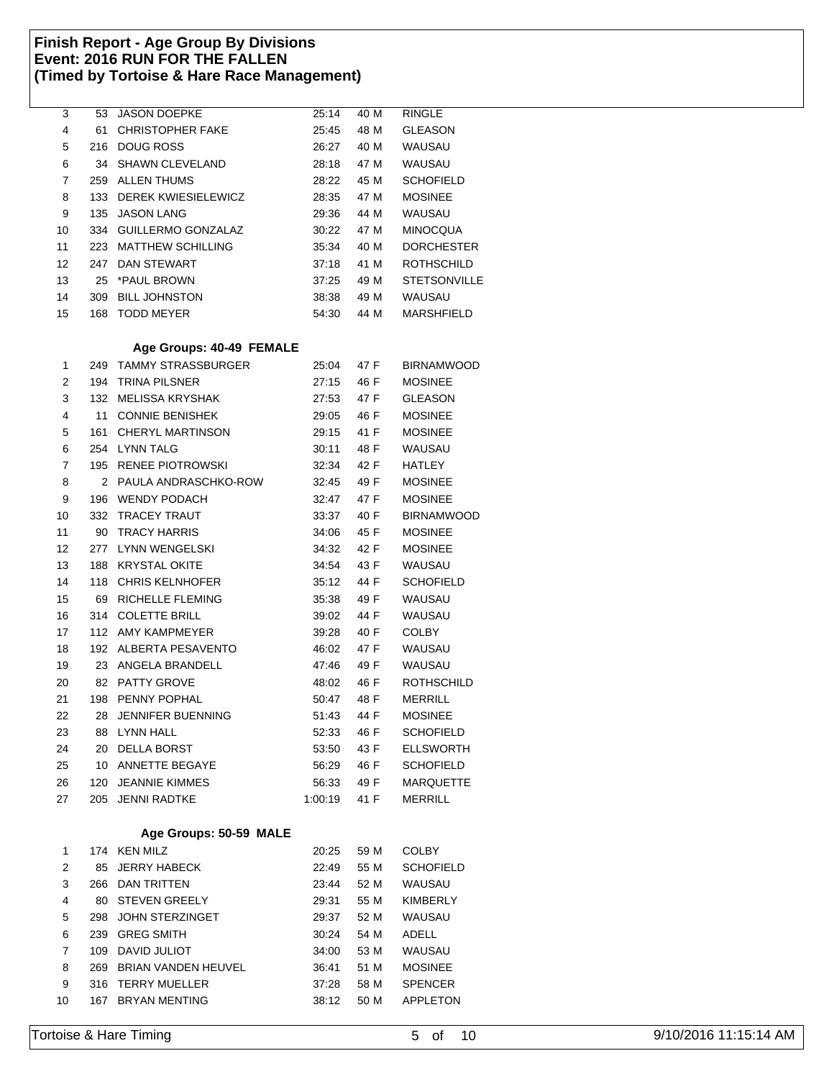| 3              | 53             | <b>JASON DOEPKE</b>      | 25:14      | 40 M | <b>RINGLE</b>       |
|----------------|----------------|--------------------------|------------|------|---------------------|
| 4              | 61             | <b>CHRISTOPHER FAKE</b>  | 25:45      | 48 M | <b>GLEASON</b>      |
| 5              | 216            | <b>DOUG ROSS</b>         | 26:27      | 40 M | <b>WAUSAU</b>       |
| 6              | 34             | <b>SHAWN CLEVELAND</b>   | 28:18      | 47 M | WAUSAU              |
| 7              | 259            | <b>ALLEN THUMS</b>       | 28:22      | 45 M | <b>SCHOFIELD</b>    |
| 8              | 133            | DEREK KWIESIELEWICZ      | 28:35      | 47 M | <b>MOSINEE</b>      |
| 9              | 135            | <b>JASON LANG</b>        | 29:36      | 44 M | WAUSAU              |
| 10             | 334            | GUILLERMO GONZALAZ       | 30:22      | 47 M | <b>MINOCQUA</b>     |
| 11             | 223            | <b>MATTHEW SCHILLING</b> | 35:34      | 40 M | <b>DORCHESTER</b>   |
| 12             | 247            | <b>DAN STEWART</b>       | 37:18      | 41 M | ROTHSCHILD          |
| 13             | 25             | *PAUL BROWN              | 37:25      | 49 M | <b>STETSONVILLE</b> |
| 14             | 309            | <b>BILL JOHNSTON</b>     | 38:38      | 49 M | WAUSAU              |
| 15             |                | 168 TODD MEYER           | 54:30      | 44 M | <b>MARSHFIELD</b>   |
|                |                |                          |            |      |                     |
|                |                | Age Groups: 40-49 FEMALE |            |      |                     |
| 1              | 249            | TAMMY STRASSBURGER       | 25:04      | 47 F | <b>BIRNAMWOOD</b>   |
| 2              | 194            | <b>TRINA PILSNER</b>     | 27:15      | 46 F | <b>MOSINEE</b>      |
| 3              | 132            | MELISSA KRYSHAK          | 27:53      | 47 F | <b>GLEASON</b>      |
| 4              | 11             | <b>CONNIE BENISHEK</b>   | 29:05      | 46 F | <b>MOSINEE</b>      |
| 5              | 161            | <b>CHERYL MARTINSON</b>  | 29:15      | 41 F | <b>MOSINEE</b>      |
| 6              |                | 254 LYNN TALG            | 30:11      | 48 F | WAUSAU              |
| $\overline{7}$ | 195            | <b>RENEE PIOTROWSKI</b>  | 32:34      | 42 F | <b>HATLEY</b>       |
| 8              | $\overline{2}$ | PAULA ANDRASCHKO-ROW     | 32:45      | 49 F | <b>MOSINEE</b>      |
| 9              | 196            | <b>WENDY PODACH</b>      | 32:47      | 47 F | <b>MOSINEE</b>      |
| 10             | 332            | TRACEY TRAUT             | 33:37      | 40 F | <b>BIRNAMWOOD</b>   |
| 11             | 90             | <b>TRACY HARRIS</b>      | 34:06      | 45 F | <b>MOSINEE</b>      |
| 12             | 277            | LYNN WENGELSKI           | 34:32      | 42 F | <b>MOSINEE</b>      |
|                |                | <b>KRYSTAL OKITE</b>     |            |      | <b>WAUSAU</b>       |
| 13             | 188            |                          | 34:54      | 43 F |                     |
| 14             | 118            | <b>CHRIS KELNHOFER</b>   | 35:12      | 44 F | <b>SCHOFIELD</b>    |
| 15             | 69             | RICHELLE FLEMING         | 35:38      | 49 F | WAUSAU              |
| 16             | 314            | <b>COLETTE BRILL</b>     | 39:02      | 44 F | <b>WAUSAU</b>       |
| 17             |                | 112 AMY KAMPMEYER        | 39:28      | 40 F | <b>COLBY</b>        |
| 18             | 192            | ALBERTA PESAVENTO        | 46:02      | 47 F | WAUSAU              |
| 19             | 23             | ANGELA BRANDELL          | 47:46      | 49 F | WAUSAU              |
| 20             | 82             | <b>PATTY GROVE</b>       | 48:02      | 46 F | <b>ROTHSCHILD</b>   |
| 21             | 198            | PENNY POPHAL             | 50:47      | 48 F | <b>MERRILL</b>      |
| 22             |                | 28 JENNIFER BUENNING     | 51:43 44 F |      | <b>MOSINEE</b>      |
| 23             |                | 88 LYNN HALL             | 52:33      | 46 F | <b>SCHOFIELD</b>    |
| 24             |                | 20 DELLA BORST           | 53:50      | 43 F | <b>ELLSWORTH</b>    |
| 25             |                | 10 ANNETTE BEGAYE        | 56:29      | 46 F | <b>SCHOFIELD</b>    |
| 26             |                | 120 JEANNIE KIMMES       | 56:33      | 49 F | MARQUETTE           |
| 27             |                | 205 JENNI RADTKE         | 1:00:19    | 41 F | <b>MERRILL</b>      |
|                |                |                          |            |      |                     |
|                |                | Age Groups: 50-59 MALE   |            |      |                     |
| 1              |                | 174 KEN MILZ             | 20:25      | 59 M | <b>COLBY</b>        |
| 2              | 85             | <b>JERRY HABECK</b>      | 22:49      | 55 M | <b>SCHOFIELD</b>    |
| 3              |                | 266 DAN TRITTEN          | 23:44      | 52 M | <b>WAUSAU</b>       |
| 4              | 80             | <b>STEVEN GREELY</b>     | 29:31      | 55 M | KIMBERLY            |
| 5              | 298            | JOHN STERZINGET          | 29:37      | 52 M | WAUSAU              |
| 6              | 239            | <b>GREG SMITH</b>        | 30:24      | 54 M | ADELL               |
| 7              | 109            | <b>DAVID JULIOT</b>      | 34:00      | 53 M | WAUSAU              |
| 8              |                | 269 BRIAN VANDEN HEUVEL  | 36:41      | 51 M | <b>MOSINEE</b>      |
| 9              |                | 316 TERRY MUELLER        | 37:28      | 58 M | <b>SPENCER</b>      |
| 10             |                | 167 BRYAN MENTING        | 38:12      | 50 M | APPLETON            |
|                |                |                          |            |      |                     |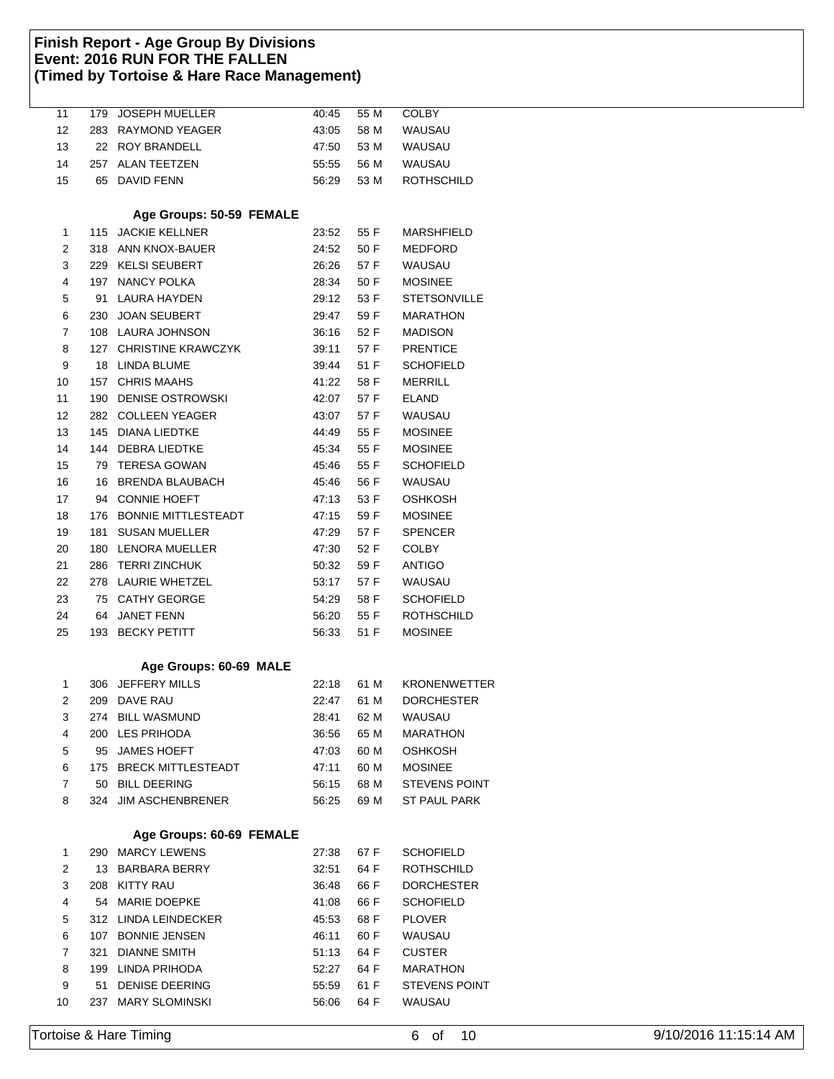| 11 | 179 | <b>JOSEPH MUELLER</b>      | 40:45 | 55 M | <b>COLBY</b>         |
|----|-----|----------------------------|-------|------|----------------------|
| 12 | 283 | <b>RAYMOND YEAGER</b>      | 43:05 | 58 M | WAUSAU               |
| 13 | 22  | <b>ROY BRANDELL</b>        | 47:50 | 53 M | <b>WAUSAU</b>        |
| 14 | 257 | <b>ALAN TEETZEN</b>        | 55:55 | 56 M | WAUSAU               |
| 15 | 65  | <b>DAVID FENN</b>          | 56:29 | 53 M | <b>ROTHSCHILD</b>    |
|    |     |                            |       |      |                      |
|    |     | Age Groups: 50-59 FEMALE   |       |      |                      |
| 1  | 115 | <b>JACKIE KELLNER</b>      | 23:52 | 55 F | <b>MARSHFIELD</b>    |
| 2  | 318 | ANN KNOX-BAUER             | 24:52 | 50 F | <b>MEDFORD</b>       |
| 3  |     | 229 KELSI SEUBERT          | 26:26 | 57 F | WAUSAU               |
| 4  |     | 197 NANCY POLKA            | 28:34 | 50 F | <b>MOSINEE</b>       |
| 5  | 91  | LAURA HAYDEN               | 29:12 | 53 F | <b>STETSONVILLE</b>  |
| 6  | 230 | <b>JOAN SEUBERT</b>        | 29:47 | 59 F | <b>MARATHON</b>      |
| 7  |     | 108 LAURA JOHNSON          | 36:16 | 52 F | <b>MADISON</b>       |
| 8  | 127 | <b>CHRISTINE KRAWCZYK</b>  | 39:11 | 57 F | <b>PRENTICE</b>      |
| 9  | 18  | LINDA BLUME                | 39:44 | 51 F | <b>SCHOFIELD</b>     |
| 10 | 157 | <b>CHRIS MAAHS</b>         | 41:22 | 58 F | <b>MERRILL</b>       |
| 11 | 190 | DENISE OSTROWSKI           | 42:07 | 57 F | <b>ELAND</b>         |
| 12 | 282 | COLLEEN YEAGER             | 43:07 | 57 F | <b>WAUSAU</b>        |
| 13 | 145 | <b>DIANA LIEDTKE</b>       | 44:49 | 55 F | <b>MOSINEE</b>       |
| 14 |     | 144 DEBRA LIEDTKE          | 45:34 | 55 F | <b>MOSINEE</b>       |
| 15 | 79  | <b>TERESA GOWAN</b>        | 45:46 | 55 F | <b>SCHOFIELD</b>     |
| 16 | 16  | <b>BRENDA BLAUBACH</b>     | 45:46 | 56 F | <b>WAUSAU</b>        |
| 17 | 94  | <b>CONNIE HOEFT</b>        | 47:13 | 53 F | <b>OSHKOSH</b>       |
| 18 | 176 | <b>BONNIE MITTLESTEADT</b> | 47:15 | 59 F | <b>MOSINEE</b>       |
| 19 | 181 | <b>SUSAN MUELLER</b>       | 47:29 | 57 F | <b>SPENCER</b>       |
| 20 | 180 | <b>LENORA MUELLER</b>      | 47:30 | 52 F | <b>COLBY</b>         |
| 21 | 286 | <b>TERRI ZINCHUK</b>       | 50:32 | 59 F | <b>ANTIGO</b>        |
| 22 | 278 | LAURIE WHETZEL             | 53:17 | 57 F | WAUSAU               |
| 23 | 75  | <b>CATHY GEORGE</b>        | 54:29 | 58 F | <b>SCHOFIELD</b>     |
| 24 | 64  | <b>JANET FENN</b>          | 56:20 | 55 F | <b>ROTHSCHILD</b>    |
| 25 | 193 | <b>BECKY PETITT</b>        | 56:33 | 51 F | <b>MOSINEE</b>       |
|    |     |                            |       |      |                      |
|    |     | Age Groups: 60-69 MALE     |       |      |                      |
| 1  | 306 | <b>JEFFERY MILLS</b>       | 22:18 | 61 M | <b>KRONENWETTER</b>  |
| 2  | 209 | DAVE RAU                   | 22:47 | 61 M | <b>DORCHESTER</b>    |
| 3  | 274 | BILL WASMUND               | 28:41 | 62 M | WAUSAU               |
| 4  |     | 200 LES PRIHODA            | 36:56 | 65 M | <b>MARATHON</b>      |
| 5  |     | 95 JAMES HOEFT             | 47:03 | 60 M | <b>OSHKOSH</b>       |
| 6  |     | 175 BRECK MITTLESTEADT     | 47:11 | 60 M | <b>MOSINEE</b>       |
| 7  | 50  | <b>BILL DEERING</b>        | 56:15 | 68 M | <b>STEVENS POINT</b> |
| 8  | 324 | <b>JIM ASCHENBRENER</b>    | 56:25 | 69 M | ST PAUL PARK         |
|    |     |                            |       |      |                      |
|    |     | Age Groups: 60-69 FEMALE   |       |      |                      |
| 1  |     | 290 MARCY LEWENS           | 27:38 | 67 F | <b>SCHOFIELD</b>     |
| 2  | 13  | BARBARA BERRY              | 32:51 | 64 F | <b>ROTHSCHILD</b>    |
| 3  |     | 208 KITTY RAU              | 36:48 | 66 F | <b>DORCHESTER</b>    |
| 4  | 54  | <b>MARIE DOEPKE</b>        | 41:08 | 66 F | <b>SCHOFIELD</b>     |
| 5  |     | 312 LINDA LEINDECKER       | 45:53 | 68 F | <b>PLOVER</b>        |
| 6  |     | 107 BONNIE JENSEN          | 46:11 | 60 F | WAUSAU               |
| 7  | 321 | <b>DIANNE SMITH</b>        | 51:13 | 64 F | <b>CUSTER</b>        |
| 8  | 199 | LINDA PRIHODA              | 52:27 | 64 F | MARATHON             |
| 9  | 51  | <b>DENISE DEERING</b>      | 55:59 | 61 F | <b>STEVENS POINT</b> |
| 10 | 237 | <b>MARY SLOMINSKI</b>      | 56:06 | 64 F | WAUSAU               |
|    |     |                            |       |      |                      |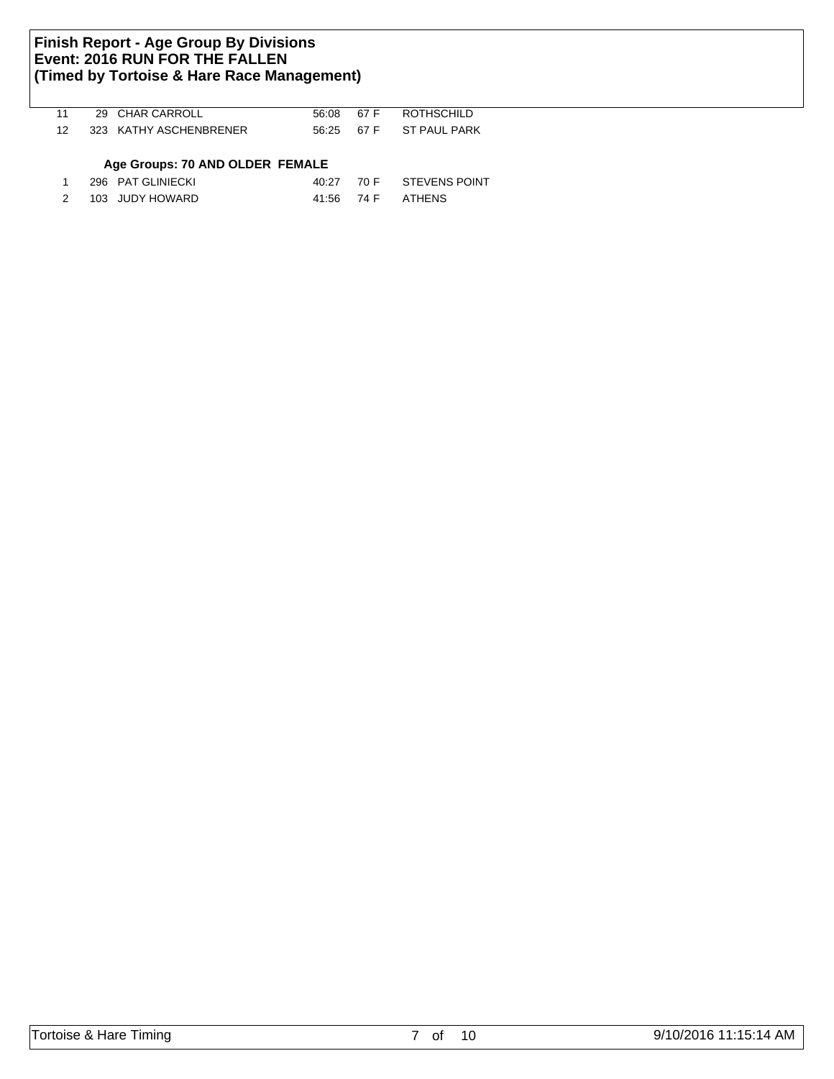| 11 |      | 29 CHAR CARROLL                 | 56:08 | 67 F | ROTHSCHILD    |
|----|------|---------------------------------|-------|------|---------------|
| 12 |      | 323 KATHY ASCHENBRENER          | 56.25 | 67 F | ST PAUL PARK  |
|    |      | Age Groups: 70 AND OLDER FEMALE |       |      |               |
|    |      | 296 PAT GLINIECKI               | 40:27 | 70 F | STEVENS POINT |
|    | 103. | JUDY HOWARD                     | 41:56 | 74 F | ATHENS        |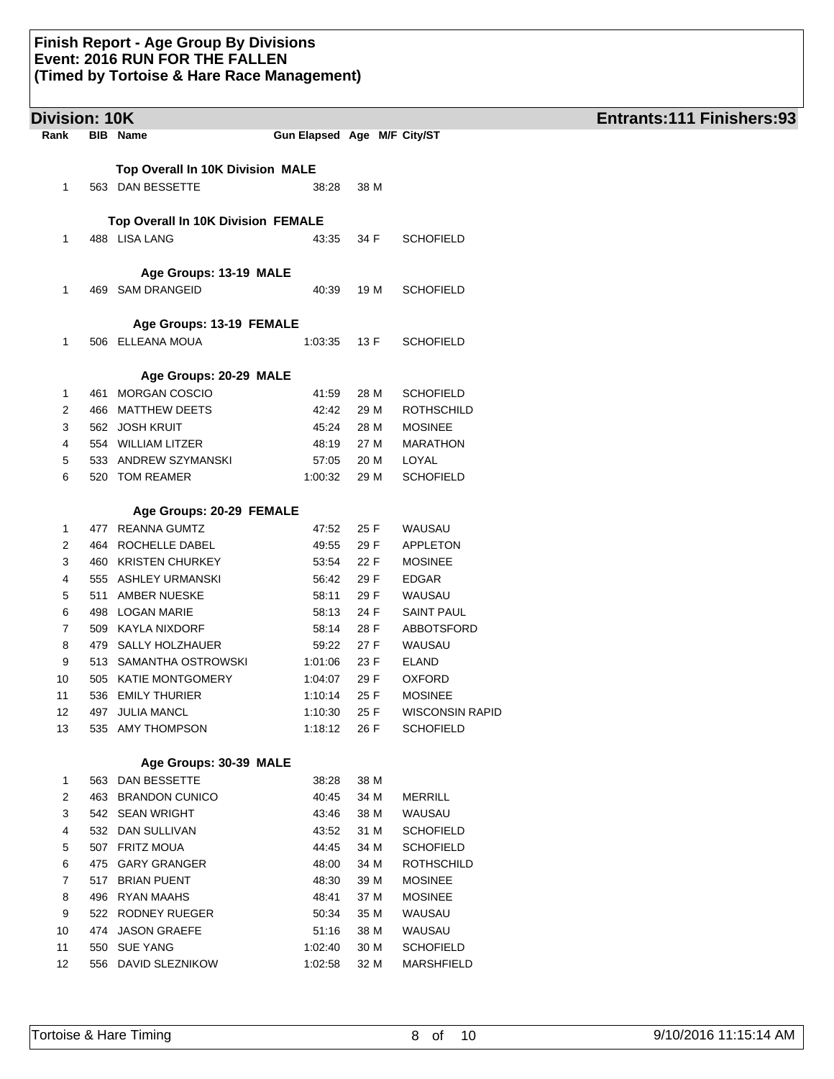| Rank<br><b>BIB</b> Name<br>Gun Elapsed Age M/F City/ST<br>Top Overall In 10K Division MALE<br>563 DAN BESSETTE<br>38 M<br>1<br>38:28<br>Top Overall In 10K Division FEMALE<br>488 LISA LANG<br>1<br>43:35<br>34 F<br><b>SCHOFIELD</b><br>Age Groups: 13-19 MALE<br>469 SAM DRANGEID<br>19 M<br><b>SCHOFIELD</b><br>1<br>40:39<br>Age Groups: 13-19 FEMALE<br>506 ELLEANA MOUA<br>1<br><b>SCHOFIELD</b><br>1:03:35<br>13 F<br>Age Groups: 20-29 MALE<br>461 MORGAN COSCIO<br><b>SCHOFIELD</b><br>41:59<br>28 M<br>1<br>466 MATTHEW DEETS<br>42:42<br>29 M<br><b>ROTHSCHILD</b><br>2<br>562 JOSH KRUIT<br>45:24<br><b>MOSINEE</b><br>3<br>28 M<br>554 WILLIAM LITZER<br>48:19<br>27 M<br><b>MARATHON</b><br>4<br>5<br>533 ANDREW SZYMANSKI<br>57:05<br>20 M<br>LOYAL<br>6<br>520 TOM REAMER<br><b>SCHOFIELD</b><br>1:00:32<br>29 M<br>Age Groups: 20-29 FEMALE<br>477 REANNA GUMTZ<br>47:52<br>25 F<br>WAUSAU<br>1<br>464 ROCHELLE DABEL<br>49:55<br>29 F<br>APPLETON<br>2<br>3<br>460 KRISTEN CHURKEY<br>53:54<br>22 F<br><b>MOSINEE</b><br>555 ASHLEY URMANSKI<br>56:42<br>29 F<br><b>EDGAR</b><br>4<br>511 AMBER NUESKE<br>58:11<br>29 F<br>WAUSAU<br>5<br>6<br>498 LOGAN MARIE<br>24 F<br><b>SAINT PAUL</b><br>58:13<br>7<br>28 F<br>509 KAYLA NIXDORF<br>58:14<br>ABBOTSFORD<br>8<br>59:22<br>27 F<br>479 SALLY HOLZHAUER<br>WAUSAU<br>9<br>513 SAMANTHA OSTROWSKI<br>23 F<br>1:01:06<br><b>ELAND</b><br>10<br>505 KATIE MONTGOMERY<br>29 F<br><b>OXFORD</b><br>1:04:07<br>25 F<br>11<br>536 EMILY THURIER<br>1:10:14<br><b>MOSINEE</b><br>12<br>25 F<br>497 JULIA MANCL<br>1:10:30<br><b>WISCONSIN RAPID</b><br>535 AMY THOMPSON<br><b>SCHOFIELD</b><br>13<br>1:18:12<br>26 F<br>Age Groups: 30-39 MALE<br>563 DAN BESSETTE<br>38:28<br>38 M<br>1<br>2<br>463 BRANDON CUNICO<br>40:45<br>34 M<br><b>MERRILL</b><br>WAUSAU<br>3<br>542 SEAN WRIGHT<br>43:46<br>38 M<br>532 DAN SULLIVAN<br>43:52<br>31 M<br><b>SCHOFIELD</b><br>4<br>507 FRITZ MOUA<br>44:45<br><b>SCHOFIELD</b><br>5<br>34 M<br>6<br>475 GARY GRANGER<br>48:00<br>34 M<br><b>ROTHSCHILD</b><br>7<br>517 BRIAN PUENT<br>48:30<br>39 M<br><b>MOSINEE</b><br>8<br>496 RYAN MAAHS<br>48:41<br>37 M<br><b>MOSINEE</b><br>9<br>522 RODNEY RUEGER<br>50:34<br>35 M<br>WAUSAU<br>474 JASON GRAEFE<br>38 M<br>WAUSAU<br>10<br>51:16<br>550 SUE YANG<br>1:02:40<br>30 M<br><b>SCHOFIELD</b><br>11<br>556 DAVID SLEZNIKOW<br>32 M<br><b>MARSHFIELD</b><br>12<br>1:02:58 | Division: 10K |  |  | <b>Entrants:111 Finishers:93</b> |
|----------------------------------------------------------------------------------------------------------------------------------------------------------------------------------------------------------------------------------------------------------------------------------------------------------------------------------------------------------------------------------------------------------------------------------------------------------------------------------------------------------------------------------------------------------------------------------------------------------------------------------------------------------------------------------------------------------------------------------------------------------------------------------------------------------------------------------------------------------------------------------------------------------------------------------------------------------------------------------------------------------------------------------------------------------------------------------------------------------------------------------------------------------------------------------------------------------------------------------------------------------------------------------------------------------------------------------------------------------------------------------------------------------------------------------------------------------------------------------------------------------------------------------------------------------------------------------------------------------------------------------------------------------------------------------------------------------------------------------------------------------------------------------------------------------------------------------------------------------------------------------------------------------------------------------------------------------------------------------------------------------------------------------------------------------------------------------------------------------------------------------------------------------------------------------------------------------------------------------------------------------------------------------------------------------------------------------------------------------------------------------------------------------------------------------|---------------|--|--|----------------------------------|
|                                                                                                                                                                                                                                                                                                                                                                                                                                                                                                                                                                                                                                                                                                                                                                                                                                                                                                                                                                                                                                                                                                                                                                                                                                                                                                                                                                                                                                                                                                                                                                                                                                                                                                                                                                                                                                                                                                                                                                                                                                                                                                                                                                                                                                                                                                                                                                                                                                  |               |  |  |                                  |
|                                                                                                                                                                                                                                                                                                                                                                                                                                                                                                                                                                                                                                                                                                                                                                                                                                                                                                                                                                                                                                                                                                                                                                                                                                                                                                                                                                                                                                                                                                                                                                                                                                                                                                                                                                                                                                                                                                                                                                                                                                                                                                                                                                                                                                                                                                                                                                                                                                  |               |  |  |                                  |
|                                                                                                                                                                                                                                                                                                                                                                                                                                                                                                                                                                                                                                                                                                                                                                                                                                                                                                                                                                                                                                                                                                                                                                                                                                                                                                                                                                                                                                                                                                                                                                                                                                                                                                                                                                                                                                                                                                                                                                                                                                                                                                                                                                                                                                                                                                                                                                                                                                  |               |  |  |                                  |
|                                                                                                                                                                                                                                                                                                                                                                                                                                                                                                                                                                                                                                                                                                                                                                                                                                                                                                                                                                                                                                                                                                                                                                                                                                                                                                                                                                                                                                                                                                                                                                                                                                                                                                                                                                                                                                                                                                                                                                                                                                                                                                                                                                                                                                                                                                                                                                                                                                  |               |  |  |                                  |
|                                                                                                                                                                                                                                                                                                                                                                                                                                                                                                                                                                                                                                                                                                                                                                                                                                                                                                                                                                                                                                                                                                                                                                                                                                                                                                                                                                                                                                                                                                                                                                                                                                                                                                                                                                                                                                                                                                                                                                                                                                                                                                                                                                                                                                                                                                                                                                                                                                  |               |  |  |                                  |
|                                                                                                                                                                                                                                                                                                                                                                                                                                                                                                                                                                                                                                                                                                                                                                                                                                                                                                                                                                                                                                                                                                                                                                                                                                                                                                                                                                                                                                                                                                                                                                                                                                                                                                                                                                                                                                                                                                                                                                                                                                                                                                                                                                                                                                                                                                                                                                                                                                  |               |  |  |                                  |
|                                                                                                                                                                                                                                                                                                                                                                                                                                                                                                                                                                                                                                                                                                                                                                                                                                                                                                                                                                                                                                                                                                                                                                                                                                                                                                                                                                                                                                                                                                                                                                                                                                                                                                                                                                                                                                                                                                                                                                                                                                                                                                                                                                                                                                                                                                                                                                                                                                  |               |  |  |                                  |
|                                                                                                                                                                                                                                                                                                                                                                                                                                                                                                                                                                                                                                                                                                                                                                                                                                                                                                                                                                                                                                                                                                                                                                                                                                                                                                                                                                                                                                                                                                                                                                                                                                                                                                                                                                                                                                                                                                                                                                                                                                                                                                                                                                                                                                                                                                                                                                                                                                  |               |  |  |                                  |
|                                                                                                                                                                                                                                                                                                                                                                                                                                                                                                                                                                                                                                                                                                                                                                                                                                                                                                                                                                                                                                                                                                                                                                                                                                                                                                                                                                                                                                                                                                                                                                                                                                                                                                                                                                                                                                                                                                                                                                                                                                                                                                                                                                                                                                                                                                                                                                                                                                  |               |  |  |                                  |
|                                                                                                                                                                                                                                                                                                                                                                                                                                                                                                                                                                                                                                                                                                                                                                                                                                                                                                                                                                                                                                                                                                                                                                                                                                                                                                                                                                                                                                                                                                                                                                                                                                                                                                                                                                                                                                                                                                                                                                                                                                                                                                                                                                                                                                                                                                                                                                                                                                  |               |  |  |                                  |
|                                                                                                                                                                                                                                                                                                                                                                                                                                                                                                                                                                                                                                                                                                                                                                                                                                                                                                                                                                                                                                                                                                                                                                                                                                                                                                                                                                                                                                                                                                                                                                                                                                                                                                                                                                                                                                                                                                                                                                                                                                                                                                                                                                                                                                                                                                                                                                                                                                  |               |  |  |                                  |
|                                                                                                                                                                                                                                                                                                                                                                                                                                                                                                                                                                                                                                                                                                                                                                                                                                                                                                                                                                                                                                                                                                                                                                                                                                                                                                                                                                                                                                                                                                                                                                                                                                                                                                                                                                                                                                                                                                                                                                                                                                                                                                                                                                                                                                                                                                                                                                                                                                  |               |  |  |                                  |
|                                                                                                                                                                                                                                                                                                                                                                                                                                                                                                                                                                                                                                                                                                                                                                                                                                                                                                                                                                                                                                                                                                                                                                                                                                                                                                                                                                                                                                                                                                                                                                                                                                                                                                                                                                                                                                                                                                                                                                                                                                                                                                                                                                                                                                                                                                                                                                                                                                  |               |  |  |                                  |
|                                                                                                                                                                                                                                                                                                                                                                                                                                                                                                                                                                                                                                                                                                                                                                                                                                                                                                                                                                                                                                                                                                                                                                                                                                                                                                                                                                                                                                                                                                                                                                                                                                                                                                                                                                                                                                                                                                                                                                                                                                                                                                                                                                                                                                                                                                                                                                                                                                  |               |  |  |                                  |
|                                                                                                                                                                                                                                                                                                                                                                                                                                                                                                                                                                                                                                                                                                                                                                                                                                                                                                                                                                                                                                                                                                                                                                                                                                                                                                                                                                                                                                                                                                                                                                                                                                                                                                                                                                                                                                                                                                                                                                                                                                                                                                                                                                                                                                                                                                                                                                                                                                  |               |  |  |                                  |
|                                                                                                                                                                                                                                                                                                                                                                                                                                                                                                                                                                                                                                                                                                                                                                                                                                                                                                                                                                                                                                                                                                                                                                                                                                                                                                                                                                                                                                                                                                                                                                                                                                                                                                                                                                                                                                                                                                                                                                                                                                                                                                                                                                                                                                                                                                                                                                                                                                  |               |  |  |                                  |
|                                                                                                                                                                                                                                                                                                                                                                                                                                                                                                                                                                                                                                                                                                                                                                                                                                                                                                                                                                                                                                                                                                                                                                                                                                                                                                                                                                                                                                                                                                                                                                                                                                                                                                                                                                                                                                                                                                                                                                                                                                                                                                                                                                                                                                                                                                                                                                                                                                  |               |  |  |                                  |
|                                                                                                                                                                                                                                                                                                                                                                                                                                                                                                                                                                                                                                                                                                                                                                                                                                                                                                                                                                                                                                                                                                                                                                                                                                                                                                                                                                                                                                                                                                                                                                                                                                                                                                                                                                                                                                                                                                                                                                                                                                                                                                                                                                                                                                                                                                                                                                                                                                  |               |  |  |                                  |
|                                                                                                                                                                                                                                                                                                                                                                                                                                                                                                                                                                                                                                                                                                                                                                                                                                                                                                                                                                                                                                                                                                                                                                                                                                                                                                                                                                                                                                                                                                                                                                                                                                                                                                                                                                                                                                                                                                                                                                                                                                                                                                                                                                                                                                                                                                                                                                                                                                  |               |  |  |                                  |
|                                                                                                                                                                                                                                                                                                                                                                                                                                                                                                                                                                                                                                                                                                                                                                                                                                                                                                                                                                                                                                                                                                                                                                                                                                                                                                                                                                                                                                                                                                                                                                                                                                                                                                                                                                                                                                                                                                                                                                                                                                                                                                                                                                                                                                                                                                                                                                                                                                  |               |  |  |                                  |
|                                                                                                                                                                                                                                                                                                                                                                                                                                                                                                                                                                                                                                                                                                                                                                                                                                                                                                                                                                                                                                                                                                                                                                                                                                                                                                                                                                                                                                                                                                                                                                                                                                                                                                                                                                                                                                                                                                                                                                                                                                                                                                                                                                                                                                                                                                                                                                                                                                  |               |  |  |                                  |
|                                                                                                                                                                                                                                                                                                                                                                                                                                                                                                                                                                                                                                                                                                                                                                                                                                                                                                                                                                                                                                                                                                                                                                                                                                                                                                                                                                                                                                                                                                                                                                                                                                                                                                                                                                                                                                                                                                                                                                                                                                                                                                                                                                                                                                                                                                                                                                                                                                  |               |  |  |                                  |
|                                                                                                                                                                                                                                                                                                                                                                                                                                                                                                                                                                                                                                                                                                                                                                                                                                                                                                                                                                                                                                                                                                                                                                                                                                                                                                                                                                                                                                                                                                                                                                                                                                                                                                                                                                                                                                                                                                                                                                                                                                                                                                                                                                                                                                                                                                                                                                                                                                  |               |  |  |                                  |
|                                                                                                                                                                                                                                                                                                                                                                                                                                                                                                                                                                                                                                                                                                                                                                                                                                                                                                                                                                                                                                                                                                                                                                                                                                                                                                                                                                                                                                                                                                                                                                                                                                                                                                                                                                                                                                                                                                                                                                                                                                                                                                                                                                                                                                                                                                                                                                                                                                  |               |  |  |                                  |
|                                                                                                                                                                                                                                                                                                                                                                                                                                                                                                                                                                                                                                                                                                                                                                                                                                                                                                                                                                                                                                                                                                                                                                                                                                                                                                                                                                                                                                                                                                                                                                                                                                                                                                                                                                                                                                                                                                                                                                                                                                                                                                                                                                                                                                                                                                                                                                                                                                  |               |  |  |                                  |
|                                                                                                                                                                                                                                                                                                                                                                                                                                                                                                                                                                                                                                                                                                                                                                                                                                                                                                                                                                                                                                                                                                                                                                                                                                                                                                                                                                                                                                                                                                                                                                                                                                                                                                                                                                                                                                                                                                                                                                                                                                                                                                                                                                                                                                                                                                                                                                                                                                  |               |  |  |                                  |
|                                                                                                                                                                                                                                                                                                                                                                                                                                                                                                                                                                                                                                                                                                                                                                                                                                                                                                                                                                                                                                                                                                                                                                                                                                                                                                                                                                                                                                                                                                                                                                                                                                                                                                                                                                                                                                                                                                                                                                                                                                                                                                                                                                                                                                                                                                                                                                                                                                  |               |  |  |                                  |
|                                                                                                                                                                                                                                                                                                                                                                                                                                                                                                                                                                                                                                                                                                                                                                                                                                                                                                                                                                                                                                                                                                                                                                                                                                                                                                                                                                                                                                                                                                                                                                                                                                                                                                                                                                                                                                                                                                                                                                                                                                                                                                                                                                                                                                                                                                                                                                                                                                  |               |  |  |                                  |
|                                                                                                                                                                                                                                                                                                                                                                                                                                                                                                                                                                                                                                                                                                                                                                                                                                                                                                                                                                                                                                                                                                                                                                                                                                                                                                                                                                                                                                                                                                                                                                                                                                                                                                                                                                                                                                                                                                                                                                                                                                                                                                                                                                                                                                                                                                                                                                                                                                  |               |  |  |                                  |
|                                                                                                                                                                                                                                                                                                                                                                                                                                                                                                                                                                                                                                                                                                                                                                                                                                                                                                                                                                                                                                                                                                                                                                                                                                                                                                                                                                                                                                                                                                                                                                                                                                                                                                                                                                                                                                                                                                                                                                                                                                                                                                                                                                                                                                                                                                                                                                                                                                  |               |  |  |                                  |
|                                                                                                                                                                                                                                                                                                                                                                                                                                                                                                                                                                                                                                                                                                                                                                                                                                                                                                                                                                                                                                                                                                                                                                                                                                                                                                                                                                                                                                                                                                                                                                                                                                                                                                                                                                                                                                                                                                                                                                                                                                                                                                                                                                                                                                                                                                                                                                                                                                  |               |  |  |                                  |
|                                                                                                                                                                                                                                                                                                                                                                                                                                                                                                                                                                                                                                                                                                                                                                                                                                                                                                                                                                                                                                                                                                                                                                                                                                                                                                                                                                                                                                                                                                                                                                                                                                                                                                                                                                                                                                                                                                                                                                                                                                                                                                                                                                                                                                                                                                                                                                                                                                  |               |  |  |                                  |
|                                                                                                                                                                                                                                                                                                                                                                                                                                                                                                                                                                                                                                                                                                                                                                                                                                                                                                                                                                                                                                                                                                                                                                                                                                                                                                                                                                                                                                                                                                                                                                                                                                                                                                                                                                                                                                                                                                                                                                                                                                                                                                                                                                                                                                                                                                                                                                                                                                  |               |  |  |                                  |
|                                                                                                                                                                                                                                                                                                                                                                                                                                                                                                                                                                                                                                                                                                                                                                                                                                                                                                                                                                                                                                                                                                                                                                                                                                                                                                                                                                                                                                                                                                                                                                                                                                                                                                                                                                                                                                                                                                                                                                                                                                                                                                                                                                                                                                                                                                                                                                                                                                  |               |  |  |                                  |
|                                                                                                                                                                                                                                                                                                                                                                                                                                                                                                                                                                                                                                                                                                                                                                                                                                                                                                                                                                                                                                                                                                                                                                                                                                                                                                                                                                                                                                                                                                                                                                                                                                                                                                                                                                                                                                                                                                                                                                                                                                                                                                                                                                                                                                                                                                                                                                                                                                  |               |  |  |                                  |
|                                                                                                                                                                                                                                                                                                                                                                                                                                                                                                                                                                                                                                                                                                                                                                                                                                                                                                                                                                                                                                                                                                                                                                                                                                                                                                                                                                                                                                                                                                                                                                                                                                                                                                                                                                                                                                                                                                                                                                                                                                                                                                                                                                                                                                                                                                                                                                                                                                  |               |  |  |                                  |
|                                                                                                                                                                                                                                                                                                                                                                                                                                                                                                                                                                                                                                                                                                                                                                                                                                                                                                                                                                                                                                                                                                                                                                                                                                                                                                                                                                                                                                                                                                                                                                                                                                                                                                                                                                                                                                                                                                                                                                                                                                                                                                                                                                                                                                                                                                                                                                                                                                  |               |  |  |                                  |
|                                                                                                                                                                                                                                                                                                                                                                                                                                                                                                                                                                                                                                                                                                                                                                                                                                                                                                                                                                                                                                                                                                                                                                                                                                                                                                                                                                                                                                                                                                                                                                                                                                                                                                                                                                                                                                                                                                                                                                                                                                                                                                                                                                                                                                                                                                                                                                                                                                  |               |  |  |                                  |
|                                                                                                                                                                                                                                                                                                                                                                                                                                                                                                                                                                                                                                                                                                                                                                                                                                                                                                                                                                                                                                                                                                                                                                                                                                                                                                                                                                                                                                                                                                                                                                                                                                                                                                                                                                                                                                                                                                                                                                                                                                                                                                                                                                                                                                                                                                                                                                                                                                  |               |  |  |                                  |
|                                                                                                                                                                                                                                                                                                                                                                                                                                                                                                                                                                                                                                                                                                                                                                                                                                                                                                                                                                                                                                                                                                                                                                                                                                                                                                                                                                                                                                                                                                                                                                                                                                                                                                                                                                                                                                                                                                                                                                                                                                                                                                                                                                                                                                                                                                                                                                                                                                  |               |  |  |                                  |
|                                                                                                                                                                                                                                                                                                                                                                                                                                                                                                                                                                                                                                                                                                                                                                                                                                                                                                                                                                                                                                                                                                                                                                                                                                                                                                                                                                                                                                                                                                                                                                                                                                                                                                                                                                                                                                                                                                                                                                                                                                                                                                                                                                                                                                                                                                                                                                                                                                  |               |  |  |                                  |
|                                                                                                                                                                                                                                                                                                                                                                                                                                                                                                                                                                                                                                                                                                                                                                                                                                                                                                                                                                                                                                                                                                                                                                                                                                                                                                                                                                                                                                                                                                                                                                                                                                                                                                                                                                                                                                                                                                                                                                                                                                                                                                                                                                                                                                                                                                                                                                                                                                  |               |  |  |                                  |
|                                                                                                                                                                                                                                                                                                                                                                                                                                                                                                                                                                                                                                                                                                                                                                                                                                                                                                                                                                                                                                                                                                                                                                                                                                                                                                                                                                                                                                                                                                                                                                                                                                                                                                                                                                                                                                                                                                                                                                                                                                                                                                                                                                                                                                                                                                                                                                                                                                  |               |  |  |                                  |
|                                                                                                                                                                                                                                                                                                                                                                                                                                                                                                                                                                                                                                                                                                                                                                                                                                                                                                                                                                                                                                                                                                                                                                                                                                                                                                                                                                                                                                                                                                                                                                                                                                                                                                                                                                                                                                                                                                                                                                                                                                                                                                                                                                                                                                                                                                                                                                                                                                  |               |  |  |                                  |
|                                                                                                                                                                                                                                                                                                                                                                                                                                                                                                                                                                                                                                                                                                                                                                                                                                                                                                                                                                                                                                                                                                                                                                                                                                                                                                                                                                                                                                                                                                                                                                                                                                                                                                                                                                                                                                                                                                                                                                                                                                                                                                                                                                                                                                                                                                                                                                                                                                  |               |  |  |                                  |
|                                                                                                                                                                                                                                                                                                                                                                                                                                                                                                                                                                                                                                                                                                                                                                                                                                                                                                                                                                                                                                                                                                                                                                                                                                                                                                                                                                                                                                                                                                                                                                                                                                                                                                                                                                                                                                                                                                                                                                                                                                                                                                                                                                                                                                                                                                                                                                                                                                  |               |  |  |                                  |
|                                                                                                                                                                                                                                                                                                                                                                                                                                                                                                                                                                                                                                                                                                                                                                                                                                                                                                                                                                                                                                                                                                                                                                                                                                                                                                                                                                                                                                                                                                                                                                                                                                                                                                                                                                                                                                                                                                                                                                                                                                                                                                                                                                                                                                                                                                                                                                                                                                  |               |  |  |                                  |
|                                                                                                                                                                                                                                                                                                                                                                                                                                                                                                                                                                                                                                                                                                                                                                                                                                                                                                                                                                                                                                                                                                                                                                                                                                                                                                                                                                                                                                                                                                                                                                                                                                                                                                                                                                                                                                                                                                                                                                                                                                                                                                                                                                                                                                                                                                                                                                                                                                  |               |  |  |                                  |
|                                                                                                                                                                                                                                                                                                                                                                                                                                                                                                                                                                                                                                                                                                                                                                                                                                                                                                                                                                                                                                                                                                                                                                                                                                                                                                                                                                                                                                                                                                                                                                                                                                                                                                                                                                                                                                                                                                                                                                                                                                                                                                                                                                                                                                                                                                                                                                                                                                  |               |  |  |                                  |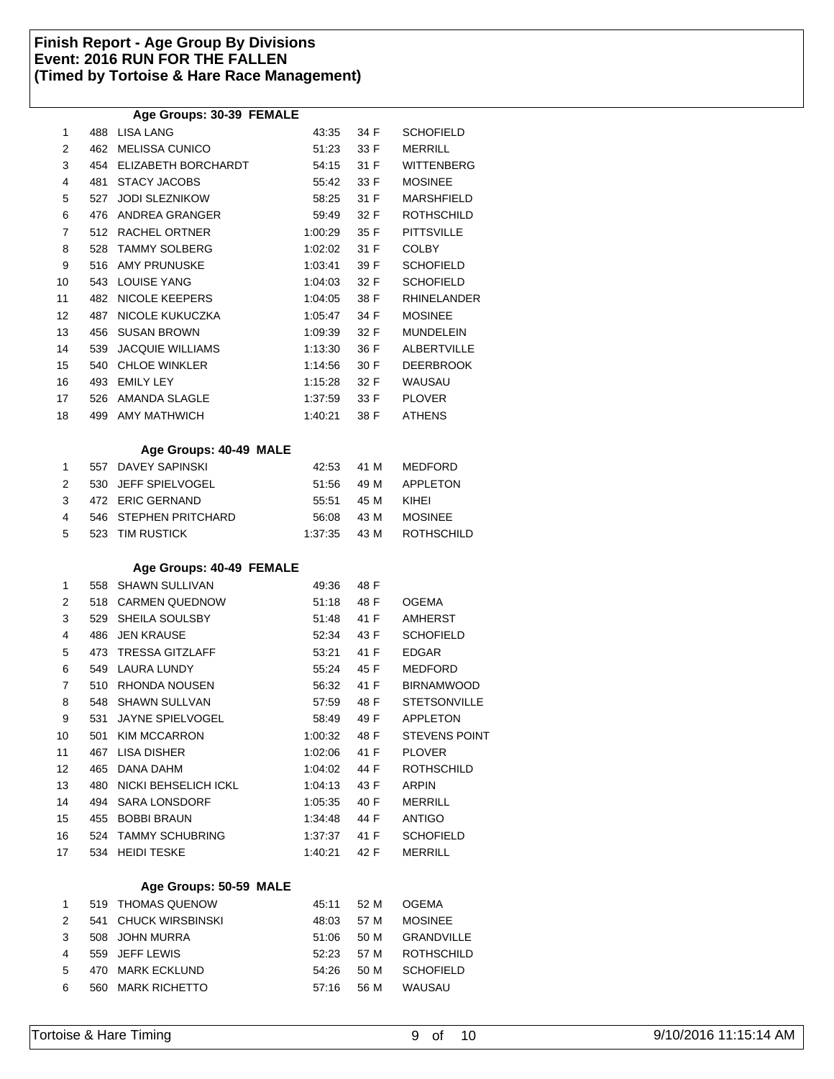# **Age Groups: 30-39 FEMALE**

|    |     | Age Oroups. Ju-JJ TEMALL |         |      |                      |
|----|-----|--------------------------|---------|------|----------------------|
| 1  |     | 488 LISA LANG            | 43:35   | 34 F | <b>SCHOFIELD</b>     |
| 2  |     | 462 MELISSA CUNICO       | 51:23   | 33 F | MERRILL              |
| 3  |     | 454 ELIZABETH BORCHARDT  | 54:15   | 31 F | <b>WITTENBERG</b>    |
| 4  | 481 | <b>STACY JACOBS</b>      | 55:42   | 33 F | <b>MOSINEE</b>       |
| 5  | 527 | <b>JODI SLEZNIKOW</b>    | 58:25   | 31 F | MARSHFIELD           |
| 6  |     | 476 ANDREA GRANGER       | 59:49   | 32 F | <b>ROTHSCHILD</b>    |
| 7  |     | 512 RACHEL ORTNER        | 1:00:29 | 35 F | <b>PITTSVILLE</b>    |
| 8  | 528 | <b>TAMMY SOLBERG</b>     | 1:02:02 | 31 F | <b>COLBY</b>         |
| 9  |     | 516 AMY PRUNUSKE         | 1:03:41 | 39 F | <b>SCHOFIELD</b>     |
| 10 |     | 543 LOUISE YANG          | 1:04:03 | 32 F | <b>SCHOFIELD</b>     |
| 11 | 482 | NICOLE KEEPERS           | 1:04:05 | 38 F | <b>RHINELANDER</b>   |
| 12 | 487 | NICOLE KUKUCZKA          | 1:05:47 | 34 F | <b>MOSINEE</b>       |
| 13 | 456 | <b>SUSAN BROWN</b>       | 1:09:39 | 32 F | <b>MUNDELEIN</b>     |
| 14 | 539 | JACQUIE WILLIAMS         | 1:13:30 | 36 F | <b>ALBERTVILLE</b>   |
| 15 | 540 | <b>CHLOE WINKLER</b>     | 1:14:56 | 30 F | <b>DEERBROOK</b>     |
| 16 |     | 493 EMILY LEY            | 1:15:28 | 32 F | <b>WAUSAU</b>        |
| 17 |     | 526 AMANDA SLAGLE        | 1:37:59 | 33 F | <b>PLOVER</b>        |
| 18 |     | 499 AMY MATHWICH         | 1:40:21 | 38 F | <b>ATHENS</b>        |
|    |     | Age Groups: 40-49 MALE   |         |      |                      |
| 1  |     | 557 DAVEY SAPINSKI       | 42:53   | 41 M | <b>MEDFORD</b>       |
| 2  | 530 | <b>JEFF SPIELVOGEL</b>   | 51:56   | 49 M | <b>APPLETON</b>      |
| 3  |     | 472 ERIC GERNAND         | 55:51   | 45 M | KIHEI                |
| 4  |     | 546 STEPHEN PRITCHARD    | 56:08   | 43 M | <b>MOSINEE</b>       |
| 5  | 523 | <b>TIM RUSTICK</b>       | 1:37:35 | 43 M | <b>ROTHSCHILD</b>    |
|    |     | Age Groups: 40-49 FEMALE |         |      |                      |
| 1  | 558 | <b>SHAWN SULLIVAN</b>    | 49:36   | 48 F |                      |
| 2  | 518 | <b>CARMEN QUEDNOW</b>    | 51:18   | 48 F | <b>OGEMA</b>         |
| 3  | 529 | SHEILA SOULSBY           | 51:48   | 41 F | <b>AMHERST</b>       |
| 4  | 486 | <b>JEN KRAUSE</b>        | 52:34   | 43 F | <b>SCHOFIELD</b>     |
| 5  | 473 | <b>TRESSA GITZLAFF</b>   | 53:21   | 41 F | <b>EDGAR</b>         |
| 6  | 549 | LAURA LUNDY              | 55:24   | 45 F | <b>MEDFORD</b>       |
| 7  |     | 510 RHONDA NOUSEN        | 56:32   | 41 F | <b>BIRNAMWOOD</b>    |
| 8  |     | 548 SHAWN SULLVAN        | 57:59   | 48 F | <b>STETSONVILLE</b>  |
| 9  | 531 | <b>JAYNE SPIELVOGEL</b>  | 58:49   | 49 F | <b>APPLETON</b>      |
| 10 | 501 | <b>KIM MCCARRON</b>      | 1:00:32 | 48 F | <b>STEVENS POINT</b> |
| 11 | 467 | <b>LISA DISHER</b>       | 1:02:06 | 41 F | <b>PLOVER</b>        |
| 12 | 465 | DANA DAHM                | 1:04:02 | 44 F | ROTHSCHILD           |
| 13 |     | 480 NICKI BEHSELICH ICKL | 1:04:13 | 43 F | ARPIN                |
| 14 |     | 494 SARA LONSDORF        | 1:05:35 | 40 F | <b>MERRILL</b>       |
| 15 |     | 455 BOBBI BRAUN          | 1:34:48 | 44 F | <b>ANTIGO</b>        |
| 16 | 524 | <b>TAMMY SCHUBRING</b>   | 1:37:37 | 41 F | <b>SCHOFIELD</b>     |
| 17 | 534 | <b>HEIDI TESKE</b>       | 1:40:21 | 42 F | <b>MERRILL</b>       |
|    |     | Age Groups: 50-59 MALE   |         |      |                      |
| 1  | 519 | <b>THOMAS QUENOW</b>     | 45:11   | 52 M | <b>OGEMA</b>         |
| 2  | 541 | <b>CHUCK WIRSBINSKI</b>  | 48:03   | 57 M | <b>MOSINEE</b>       |
| 3  | 508 | <b>JOHN MURRA</b>        | 51:06   | 50 M | <b>GRANDVILLE</b>    |
|    |     |                          |         |      |                      |

| 5 | 470 MARK ECKLUND  |  | 54:26 50 M SCHOFIELD       |
|---|-------------------|--|----------------------------|
| 6 | 560 MARK RICHETTO |  | 57:16    56    M    WAUSAU |
|   |                   |  |                            |
|   |                   |  |                            |

4 559 JEFF LEWIS 52:23 57 M ROTHSCHILD